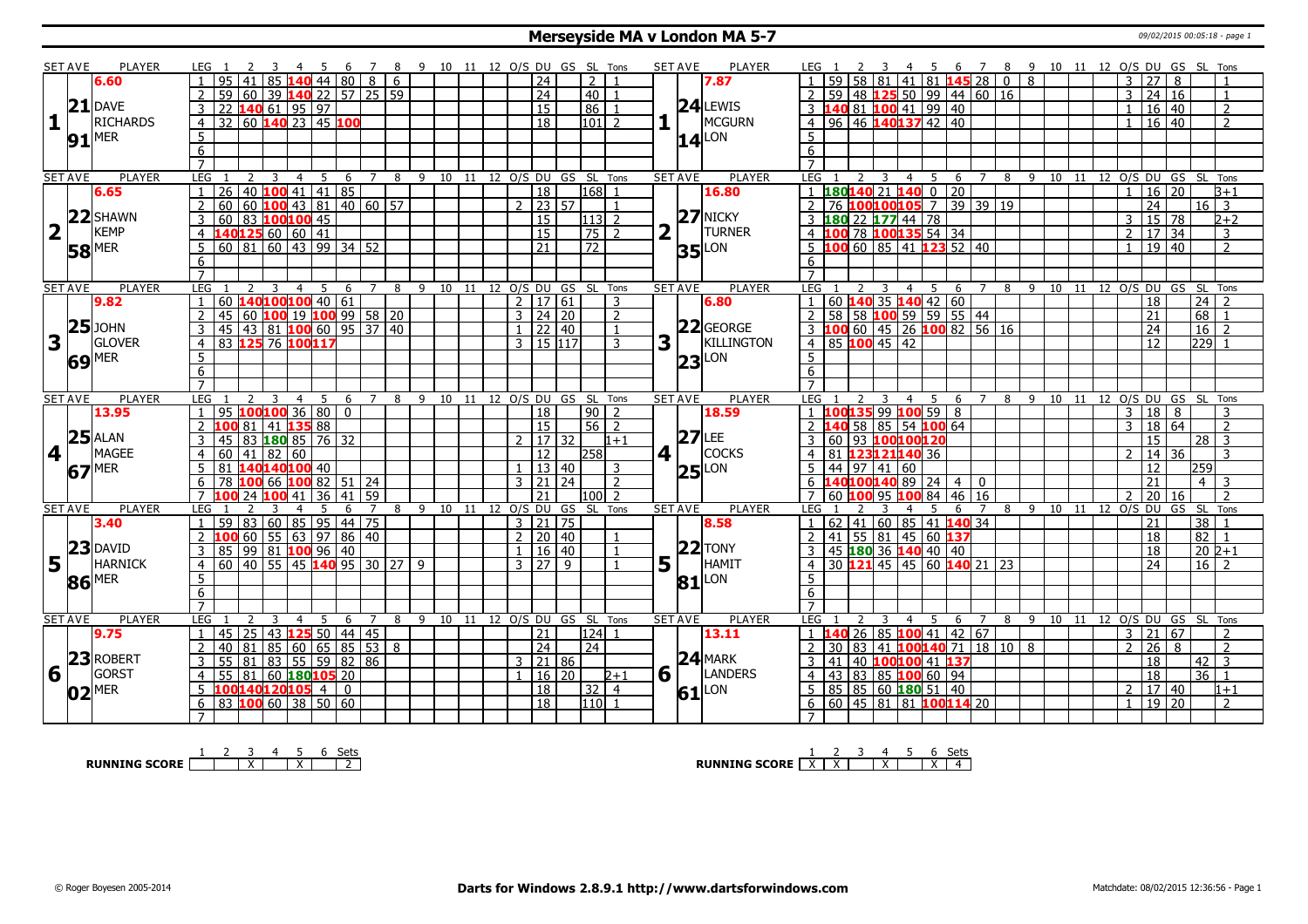#### **Merseyside MA v London MA 5-7** 09/02/2015 00:05:18 - page 1

|                         | SET AVE        | <b>PLAYER</b>       |                 | LEG 1                                  |                 |                                                          |                 | -5              |         |                |                | 89  |    |    |              |                      |                 | 10 11 12 O/S DU GS SL Tons     |                      |                | <b>SET AVE</b> |          | <b>PLAYER</b>       | LEG 1          |                                           |              |                |                                               |                |                                                 |     | 6 7 8 9 10 11 12 O/S DU GS SL Tons |    |  |                |                 |                 |                  |                     |
|-------------------------|----------------|---------------------|-----------------|----------------------------------------|-----------------|----------------------------------------------------------|-----------------|-----------------|---------|----------------|----------------|-----|----|----|--------------|----------------------|-----------------|--------------------------------|----------------------|----------------|----------------|----------|---------------------|----------------|-------------------------------------------|--------------|----------------|-----------------------------------------------|----------------|-------------------------------------------------|-----|------------------------------------|----|--|----------------|-----------------|-----------------|------------------|---------------------|
|                         |                | 6.60                |                 | 95                                     |                 | 85                                                       |                 |                 | 44 80   | $\overline{8}$ | 6              |     |    |    |              |                      | $\overline{24}$ |                                | 2                    |                |                |          | 7.87                |                |                                           |              |                | 41 81 145 28                                  |                | $\Omega$                                        | 8   |                                    |    |  | 3              | 27              | 8               |                  |                     |
|                         |                |                     |                 | 59                                     | l 60            | 39                                                       | 140 22 57 25 59 |                 |         |                |                |     |    |    |              |                      | $\overline{24}$ |                                | 40 <sup>1</sup>      |                |                |          |                     |                | 59                                        |              |                |                                               |                | 48   125   50   99   44   60   16               |     |                                    |    |  | 3              | 24 16           |                 |                  |                     |
|                         |                | $21$ DAVE           | 3               |                                        |                 |                                                          |                 |                 |         |                |                |     |    |    |              |                      | 15              |                                | 86                   |                |                |          | $24$ LEWIS          | 3              | 140 81 100 41 99 40                       |              |                |                                               |                |                                                 |     |                                    |    |  |                | 16 40           |                 |                  | $\overline{2}$      |
| $\mathbf{1}$            |                | <b>RICHARDS</b>     | $\overline{4}$  | 22 140 61 95 97<br>32 60 140 23 45 100 |                 |                                                          |                 |                 |         |                |                |     |    |    |              |                      | $\overline{18}$ |                                | $101$ 2              |                |                |          | MCGURN              | 4 <sup>1</sup> | 96 46 140 137 42 40                       |              |                |                                               |                |                                                 |     |                                    |    |  | $\overline{1}$ | $16 \mid 40$    |                 |                  | $\overline{2}$      |
|                         |                |                     | 5               |                                        |                 |                                                          |                 |                 |         |                |                |     |    |    |              |                      |                 |                                |                      |                |                |          |                     | 5              |                                           |              |                |                                               |                |                                                 |     |                                    |    |  |                |                 |                 |                  |                     |
|                         |                | $91$ <sup>MER</sup> | $6\overline{6}$ |                                        |                 |                                                          |                 |                 |         |                |                |     |    |    |              |                      |                 |                                |                      |                |                |          | $14$ <sup>LON</sup> | 6              |                                           |              |                |                                               |                |                                                 |     |                                    |    |  |                |                 |                 |                  |                     |
|                         |                |                     | $\overline{7}$  |                                        |                 |                                                          |                 |                 |         |                |                |     |    |    |              |                      |                 |                                |                      |                |                |          |                     | $\overline{7}$ |                                           |              |                |                                               |                |                                                 |     |                                    |    |  |                |                 |                 |                  |                     |
|                         | <b>SET AVE</b> | <b>PLAYER</b>       | <b>LEG</b>      |                                        | 2               | 3                                                        | $\overline{4}$  | -5              | 6       | $7^{\circ}$    |                |     |    |    |              |                      |                 | 8 9 10 11 12 0/S DU GS SL Tons |                      |                | <b>SET AVE</b> |          | <b>PLAYER</b>       | <b>LEG</b>     | 2                                         | 3            | $\overline{4}$ | 5                                             |                | 6 7 8 9 10 11 12 0/S DU GS SL Tons              |     |                                    |    |  |                |                 |                 |                  |                     |
|                         |                | 6.65                | 1               | 26                                     |                 | 40 $100$ 41 41 85                                        |                 |                 |         |                |                |     |    |    |              |                      | $\overline{18}$ |                                | 168 1                |                |                |          | 16.80               |                | $180140$ 21 140 0 20                      |              |                |                                               |                |                                                 |     |                                    |    |  | $\overline{1}$ | 16 20           |                 |                  | $3 + 1$             |
|                         |                |                     | $\overline{2}$  | 60                                     |                 | $\boxed{60}$ 100 43 81 40 60 57                          |                 |                 |         |                |                |     |    |    |              | $2$ 23 57            |                 |                                |                      | $\overline{1}$ |                |          |                     |                | 76 100 100 105 7 39 39 19                 |              |                |                                               |                |                                                 |     |                                    |    |  |                | 24              |                 | $16$ 3           |                     |
|                         |                | 22 SHAWN            | $\overline{3}$  | 60                                     | <u>83</u>       | 100100 45                                                |                 |                 |         |                |                |     |    |    |              | 15                   |                 |                                | 113 2                |                |                |          | $27$ NICKY          |                | 180 22 177 44 78                          |              |                |                                               |                |                                                 |     |                                    |    |  | 3              | $\sqrt{15}$ 78  |                 |                  | $2 + 2$             |
| $\overline{\mathbf{2}}$ |                | <b>KEMP</b>         |                 | 140125 60 60 41                        |                 |                                                          |                 |                 |         |                |                |     |    |    |              |                      | $\overline{15}$ |                                | $\overline{75}$      |                | 2              |          | <b>TURNER</b>       |                |                                           |              |                | 78 100135 54 34                               |                |                                                 |     |                                    |    |  |                |                 |                 |                  |                     |
|                         |                |                     | $\overline{4}$  |                                        |                 |                                                          |                 |                 |         |                |                |     |    |    |              |                      |                 |                                |                      | $\overline{2}$ |                |          |                     |                |                                           |              |                |                                               |                |                                                 |     |                                    |    |  | $\overline{2}$ | 17 34           |                 |                  | 3<br>$\overline{z}$ |
|                         |                | $58$ <sup>MER</sup> | $5\phantom{.0}$ | 60 81 60 43 99 34 52                   |                 |                                                          |                 |                 |         |                |                |     |    |    |              |                      | 21              |                                | $\overline{72}$      |                |                |          | $35$ LON            | 5              | LOO 60   85   41 123 52   40              |              |                |                                               |                |                                                 |     |                                    |    |  |                | $19$ 40         |                 |                  |                     |
|                         |                |                     | 6               |                                        |                 |                                                          |                 |                 |         |                |                |     |    |    |              |                      |                 |                                |                      |                |                |          |                     | 6              |                                           |              |                |                                               |                |                                                 |     |                                    |    |  |                |                 |                 |                  |                     |
|                         |                |                     | $\overline{7}$  |                                        |                 |                                                          |                 |                 |         |                |                |     |    |    |              |                      |                 |                                |                      |                |                |          |                     |                |                                           |              |                |                                               |                |                                                 |     |                                    |    |  |                |                 |                 |                  |                     |
|                         | <b>SET AVE</b> | <b>PLAYER</b>       | LEG             |                                        |                 | 3                                                        | $\overline{4}$  | 5               | 6       | $\overline{7}$ | 8              | 9   | 10 | 11 |              | 12 O/S DU            |                 | GS                             | SL Tons              |                | <b>SET AVE</b> |          | <b>PLAYER</b>       | LEG            |                                           | 3            | $\overline{4}$ | 5 <sup>7</sup><br>6                           | $7^{\circ}$    | 8                                               |     | 9 10                               | 11 |  |                | 12 0/S DU GS    |                 | SL Tons          |                     |
|                         |                | 9.82                |                 | 60 140100100 40 61                     |                 |                                                          |                 |                 |         |                |                |     |    |    |              | 2   17   61          |                 |                                |                      | 3              |                |          | 6.80                |                | 60 140 35 140 42 60                       |              |                |                                               |                |                                                 |     |                                    |    |  |                | 18              |                 | $24$   2         |                     |
|                         | 25             | <b>JOHN</b>         | 2               | 45                                     |                 | 60   <mark>100</mark> 19   <mark>100</mark> 99   58   20 |                 |                 |         |                |                |     |    |    |              | $3 \mid 24 \mid 20$  |                 |                                |                      | $\overline{2}$ |                |          | $22$ GEORGE         | 2              | 58 58 100 59 59 55 44                     |              |                |                                               |                |                                                 |     |                                    |    |  |                | 21              |                 | $68$   1         |                     |
|                         |                |                     | 3               | 45                                     |                 | 43   81   <mark>100</mark> 60   95   37   40             |                 |                 |         |                |                |     |    |    |              | $1 \ 22 \ 40$        |                 |                                |                      | $\overline{1}$ |                |          |                     |                | 3 <b>100</b> 60 45 26 <b>100</b> 82 56 16 |              |                |                                               |                |                                                 |     |                                    |    |  |                | 24              |                 | $16 \mid 2$      |                     |
| 3                       |                | <b>GLOVER</b>       | $\overline{4}$  | 83 125                                 |                 | 76 100 117                                               |                 |                 |         |                |                |     |    |    |              | $3 \mid 15 \mid 117$ |                 |                                |                      | 3              | 3              |          | KILLINGTON          | $\overline{4}$ | 85 100 45 42                              |              |                |                                               |                |                                                 |     |                                    |    |  |                | 12              |                 | 229 1            |                     |
|                         |                | 69 MER              | $\overline{5}$  |                                        |                 |                                                          |                 |                 |         |                |                |     |    |    |              |                      |                 |                                |                      |                |                |          | $23$ LON            | 5              |                                           |              |                |                                               |                |                                                 |     |                                    |    |  |                |                 |                 |                  |                     |
|                         |                |                     | 6               |                                        |                 |                                                          |                 |                 |         |                |                |     |    |    |              |                      |                 |                                |                      |                |                |          |                     | 6              |                                           |              |                |                                               |                |                                                 |     |                                    |    |  |                |                 |                 |                  |                     |
|                         |                |                     | $\overline{7}$  |                                        |                 |                                                          |                 |                 |         |                |                |     |    |    |              |                      |                 |                                |                      |                |                |          |                     |                |                                           |              |                |                                               |                |                                                 |     |                                    |    |  |                |                 |                 |                  |                     |
|                         |                |                     |                 |                                        |                 | 3                                                        | $\overline{4}$  | -5              | 6       | $\overline{7}$ | 8              | -9  | 10 | 11 |              |                      |                 |                                | 12 O/S DU GS SL Tons |                | <b>SET AVE</b> |          | <b>PLAYER</b>       | LEG            | 2                                         |              | $\overline{4}$ | 5                                             | 6              |                                                 |     |                                    |    |  |                |                 | 12 O/S DU GS SL |                  | Tons                |
|                         | <b>SET AVE</b> | <b>PLAYER</b>       | LEG             |                                        | $\overline{2}$  |                                                          |                 |                 |         |                |                |     |    |    |              |                      |                 |                                |                      |                |                |          |                     |                |                                           |              |                |                                               |                |                                                 | 8 9 | 10                                 | 11 |  |                |                 |                 |                  |                     |
|                         |                | 13.95               |                 | 95                                     | 100100          |                                                          | 36              | $\overline{80}$ | l 0     |                |                |     |    |    |              |                      | 18              |                                | 90                   | $\overline{z}$ |                |          | 18.59               |                | 00135 99 100 59 8                         |              |                |                                               |                |                                                 |     |                                    |    |  | 3              | 18              | 8               |                  |                     |
|                         |                |                     | $\overline{2}$  |                                        | 81              | 41 135 88                                                |                 |                 |         |                |                |     |    |    |              |                      | $\overline{15}$ |                                | 56                   | $\overline{2}$ |                |          |                     |                | 40 58 85 54 100 64                        |              |                |                                               |                |                                                 |     |                                    |    |  | 3              | 18              | 64              |                  | $\overline{z}$      |
|                         |                | $25$ ALAN           | 3               | 45                                     |                 | 83 180 85 76 32                                          |                 |                 |         |                |                |     |    |    |              |                      | 17   32         |                                |                      | $1 + 1$        |                | $27$ LEE |                     | 3              | 60                                        | 93 100100120 |                |                                               |                |                                                 |     |                                    |    |  |                | 15              |                 | $28$ 3           |                     |
| 4                       |                | <b>MAGEE</b>        | $\overline{4}$  | 60                                     |                 | 41 82 60                                                 |                 |                 |         |                |                |     |    |    |              |                      | 12              |                                | 258                  |                | 4 <sup>1</sup> |          | <b>COCKS</b>        | $\overline{4}$ | 81 123121140 36                           |              |                |                                               |                |                                                 |     |                                    |    |  | $\mathcal{L}$  | 14 36           |                 |                  | $\mathcal{R}$       |
|                         |                | <b>MER</b>          | 5               | 81                                     |                 | 140140100 40                                             |                 |                 |         |                |                |     |    |    | $\mathbf{1}$ |                      | 13 40           |                                |                      | 3              |                |          |                     | 5              | $144$   97   41   60                      |              |                |                                               |                |                                                 |     |                                    |    |  |                | 12              |                 | 259              |                     |
|                         | 67             |                     | 6               | 78 100 66 100 82 51 24                 |                 |                                                          |                 |                 |         |                |                |     |    |    |              | $3 \mid 21 \mid 24$  |                 |                                |                      | 2              |                |          | $25$ LON            |                | $6 \overline{140100140}892440$            |              |                |                                               |                |                                                 |     |                                    |    |  |                | 21              |                 | $4 \mid 3$       |                     |
|                         |                |                     | $\overline{7}$  |                                        | $\overline{24}$ | 100                                                      | $\overline{41}$ | 36              | 41      | 59             |                |     |    |    |              | 21                   |                 |                                | 100 <sup>1</sup>     | $\overline{2}$ |                |          |                     | $\overline{7}$ | 60 100 95 100 84 46 16                    |              |                |                                               |                |                                                 |     |                                    |    |  | 2              | 20 16           |                 |                  | $\overline{z}$      |
|                         | <b>SET AVE</b> | PLAYER              | LEG             |                                        |                 |                                                          | $\overline{4}$  | -5              | 6       | $\overline{7}$ | 8              | - 9 | 10 |    |              |                      |                 | 11 12 O/S DU GS SL Tons        |                      |                | <b>SET AVE</b> |          | PLAYER              | LEG            |                                           |              | $\overline{4}$ | 5<br>6                                        | $\overline{7}$ |                                                 |     | 8 9 10 11 12 O/S DU GS SL Tons     |    |  |                |                 |                 |                  |                     |
|                         |                | 3.40                | $\overline{1}$  | 59                                     |                 | 83   60   85   95   44   75                              |                 |                 |         |                |                |     |    |    |              | $3 \mid 21 \mid 75$  |                 |                                |                      |                |                |          | 8.58                | $\mathbf{1}$   | $62$ 41 60 85 41 140 34                   |              |                |                                               |                |                                                 |     |                                    |    |  |                | $\overline{21}$ |                 | 38 1             |                     |
|                         |                |                     | 2               | 100                                    |                 | 60   55   63   97   86   40                              |                 |                 |         |                |                |     |    |    |              | $2 \mid 20 \mid 40$  |                 |                                |                      | $\overline{1}$ |                |          |                     | $\mathcal{P}$  | 41 55 81 45 60 137                        |              |                |                                               |                |                                                 |     |                                    |    |  |                | 18              |                 | $82$ 1           |                     |
|                         |                | <b>23</b> DAVID     | 3               | 85                                     |                 | 99   81   100   96   40                                  |                 |                 |         |                |                |     |    |    |              | 1 16 40              |                 |                                |                      |                |                |          | $22$ TONY           |                | 45 180 36 140 40 40                       |              |                |                                               |                |                                                 |     |                                    |    |  |                | $\overline{18}$ |                 | $ 202+1$         |                     |
| 5 <sub>l</sub>          |                | <b>HARNICK</b>      | $\overline{4}$  | $60$   40   55                         |                 |                                                          | <sup>1</sup> 45 |                 |         |                | $140$ 95 30 27 | -9  |    |    |              | $3 \mid 27$          |                 | $\mathbf{q}$                   |                      |                | 5              |          | HAMIT               |                | 30 <b>121</b> 45 45 60 <b>140</b> 21 23   |              |                |                                               |                |                                                 |     |                                    |    |  |                | $\overline{24}$ |                 | $16$   2         |                     |
|                         |                |                     | 5               |                                        |                 |                                                          |                 |                 |         |                |                |     |    |    |              |                      |                 |                                |                      |                |                |          |                     | 5              |                                           |              |                |                                               |                |                                                 |     |                                    |    |  |                |                 |                 |                  |                     |
|                         |                | $86$ <sup>MER</sup> | 6               |                                        |                 |                                                          |                 |                 |         |                |                |     |    |    |              |                      |                 |                                |                      |                |                |          | $81$ <sup>LON</sup> | 6              |                                           |              |                |                                               |                |                                                 |     |                                    |    |  |                |                 |                 |                  |                     |
|                         |                |                     | $\overline{7}$  |                                        |                 |                                                          |                 |                 |         |                |                |     |    |    |              |                      |                 |                                |                      |                |                |          |                     | $\overline{7}$ |                                           |              |                |                                               |                |                                                 |     |                                    |    |  |                |                 |                 |                  |                     |
|                         | <b>SET AVE</b> | <b>PLAYER</b>       | LEG             |                                        |                 |                                                          | 4               | .5.             | 6       | 7              | 8              | 9   | 10 | 11 |              |                      |                 | 12 O/S DU GS SL Tons           |                      |                | <b>SET AVE</b> |          | <b>PLAYER</b>       | LEG            |                                           |              | $\overline{4}$ | -5.                                           | 6 7            | 8                                               |     | 9 10                               | 11 |  |                |                 | 12 O/S DU GS    | SL Tons          |                     |
|                         |                | 9.75                | 1               | 45                                     | $\overline{25}$ | $\overline{43}$                                          | $125$ 50 44 45  |                 |         |                |                |     |    |    |              | $\overline{21}$      |                 |                                | 124 1                |                |                |          | 13.11               |                |                                           |              |                | $26 \mid 85 \mid 100 \mid 41 \mid 42 \mid 67$ |                |                                                 |     |                                    |    |  | $\mathbf{3}$   | $ 21\rangle$    | $\overline{67}$ |                  | $\overline{2}$      |
|                         |                |                     | $\overline{2}$  | 40                                     | 81              | $\overline{85}$                                          | $\sqrt{60}$     |                 | $65$ 85 | 53             | 8              |     |    |    |              |                      | $\overline{24}$ |                                | $\overline{24}$      |                |                |          |                     |                | 30                                        |              |                |                                               |                | 83   41   <mark>100</mark> 140 71   18   10   8 |     |                                    |    |  | $\overline{2}$ | $\overline{26}$ | $\overline{8}$  |                  | $\overline{2}$      |
|                         | 23             | ROBERT              | 3               | 55                                     | 81              | 83 55 59 82 86                                           |                 |                 |         |                |                |     |    |    |              | $3 \mid 21 \mid 86$  |                 |                                |                      |                |                |          | $24$ MARK           | 3              | 41                                        |              |                | 40 100100 41 137                              |                |                                                 |     |                                    |    |  |                | 18              |                 | $42\overline{3}$ |                     |
| 6                       |                | <b>GORST</b>        | $\overline{4}$  | 55                                     |                 | 81 60 180 105 20                                         |                 |                 |         |                |                |     |    |    | $\mathbf{1}$ |                      | 16 20           |                                |                      | 2+1            | 6 1            |          | <b>LANDERS</b>      | $\overline{4}$ | 43 83 85 100 60 94                        |              |                |                                               |                |                                                 |     |                                    |    |  |                | $\overline{18}$ |                 | 36 1             |                     |
|                         |                |                     | 5               | 100140120105 4                         |                 |                                                          |                 |                 | l o     |                |                |     |    |    |              |                      | 18              |                                | 32                   | $\overline{4}$ |                |          |                     | 5              | 85 85 60 180 51 40                        |              |                |                                               |                |                                                 |     |                                    |    |  | 2              | 17 40           |                 |                  | $1 + 1$             |
|                         |                | $02$ <sup>MER</sup> | 6               | 83 100 60 38 50 60                     |                 |                                                          |                 |                 |         |                |                |     |    |    |              |                      | $\overline{18}$ |                                | 110                  |                |                |          | $61$ <sup>LON</sup> | 6              | 60 45 81 81 100114 20                     |              |                |                                               |                |                                                 |     |                                    |    |  |                | 19 20           |                 |                  | $\overline{z}$      |

**RUNNING SCORE** 1 2 3 X 4 5 X 6 Sets 2

**RUNNING SCORE**  $\begin{array}{|c|c|c|c|c|}\n\hline\n & 2 & 3 & 4 & 5 & 6 & \text{Sets} \\
\hline\n\end{array}$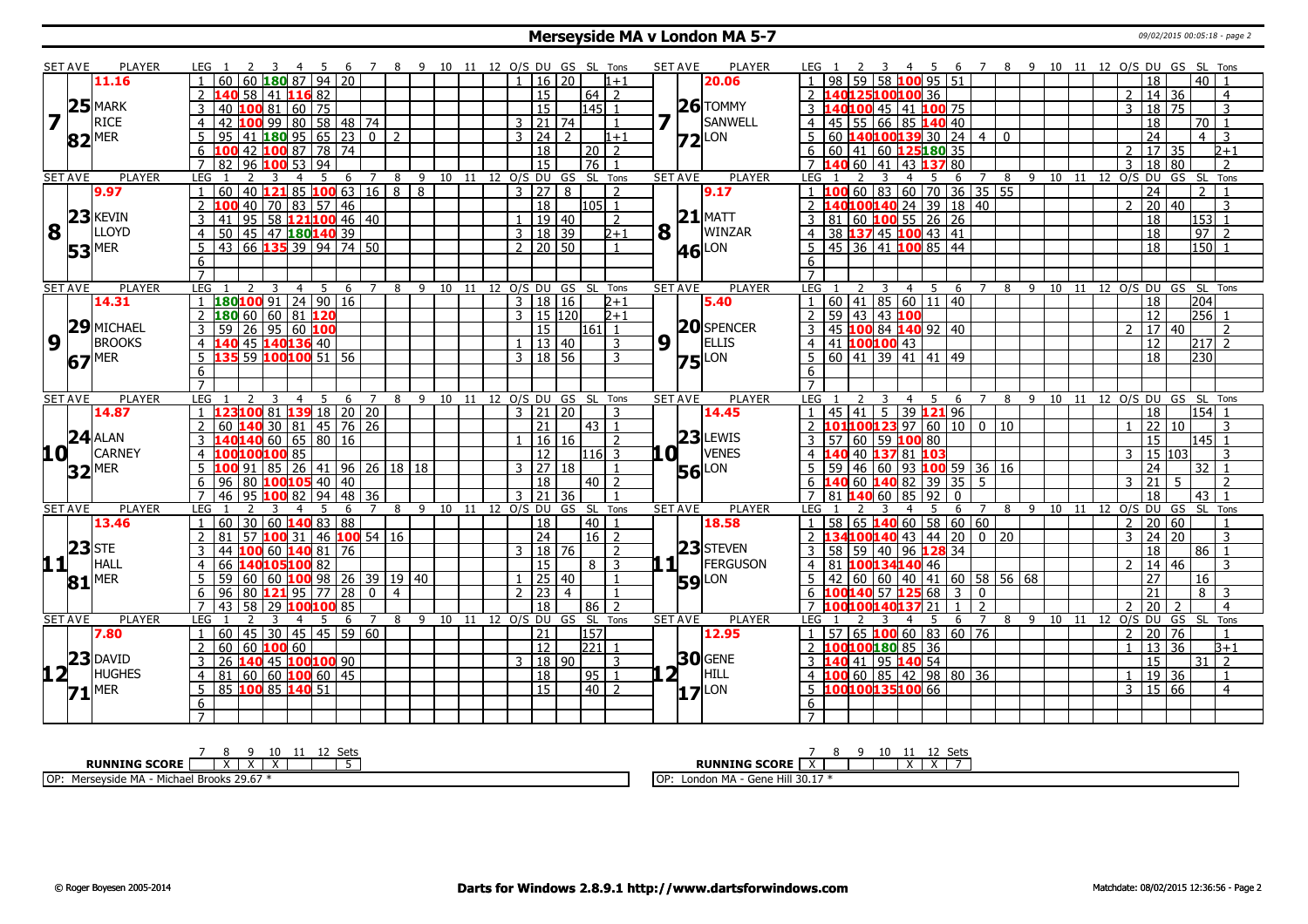#### **Merseyside MA v London MA 5-7** 09/02/2015 00:05:18 - page 2

|                  | SET AVE                                         | PLAYER              | LEG <sub>1</sub><br>-4                                           | 7 8 9 10 11 12 O/S DU GS SL Tons |                                 |                                  | <b>SET AVE</b><br><b>PLAYER</b> | 6 7 8 9 10 11 12 O/S DU GS SL Tons<br>LEG 1<br>$\overline{4}$<br>- 5                          |
|------------------|-------------------------------------------------|---------------------|------------------------------------------------------------------|----------------------------------|---------------------------------|----------------------------------|---------------------------------|-----------------------------------------------------------------------------------------------|
|                  |                                                 | 11.16               | 60 60 <b>180</b> 87 94 20                                        |                                  | $1 \mid 16 \mid 20$             | $1 + 1$                          | 20.06                           | 1   98   59   58   100   95   51<br>$\overline{18}$<br>$40$   1                               |
|                  |                                                 |                     | $\mathcal{P}$<br>58 41 116 82                                    |                                  | $\overline{15}$                 | $64$   2                         |                                 | 2 140125100100 36<br>$14 \overline{)36}$<br>$\mathcal{P}$<br>$\overline{4}$                   |
|                  |                                                 | $25$ MARK           | 1008160<br>$\overline{75}$<br>3<br>40                            |                                  | 15                              | $ 145 $ 1                        | $26$ TOMMY                      | 3 140100 45 41 100 75<br>3   18   75<br>3                                                     |
|                  |                                                 | <b>RICE</b>         | 100 99 80 58 48 74<br>$\overline{4}$<br>42                       |                                  | $3 \mid 21 \mid 74$             | 1                                | SANWELL                         | 4 4 5 55 66 85 140 40<br>18<br>70   1                                                         |
|                  |                                                 | $82$ <sup>MER</sup> | $180$ 95 65 23 0 2<br>95<br>41                                   |                                  | 3 24                            | 2<br>$1 + 1$                     | $Z2$ LON                        | $5 60 $ 140 100 139 30   24   4   0<br>24<br>$4 \mid 3$                                       |
|                  |                                                 |                     | 100 42 100 87 78 74                                              |                                  | $\overline{18}$                 | $\boxed{20}$ $\boxed{2}$         |                                 | 6 6 6 41 60 <b>125180</b> 35<br>$\overline{2}$<br>  17   35<br>$2+1$                          |
|                  |                                                 |                     | $\overline{7}$<br>$\overline{82}$<br>96 100 53<br>94             |                                  | $\overline{15}$                 | $\sqrt{76}$                      |                                 | 7 140 60 41 43 137 80<br>$\overline{18}$<br>$\overline{80}$<br>3<br>$\overline{z}$            |
|                  | <b>SET AVE</b>                                  | <b>PLAYER</b>       | LEG<br>$\overline{2}$<br>3<br>5<br>6<br>4                        | 8<br>$\overline{7}$              |                                 | 9 10 11 12 0/S DU GS SL Tons     | <b>SET AVE</b><br><b>PLAYER</b> | <b>LEG</b><br>8 9 10 11 12 O/S DU<br>GS SL<br>5<br>6<br>Tons<br>4<br>7                        |
|                  |                                                 | 9.97                | 40 <b>121</b> 85 <b>100</b> 63 16 8 8<br>60                      |                                  | 3   27   8                      | $\overline{z}$                   | 9.17                            | 1 <b>100</b> 60 83 60 70 36 35 55<br>24<br>$\mathcal{P}$                                      |
|                  |                                                 |                     | 40 70 83 57 46<br>$\overline{2}$                                 |                                  | $\overline{18}$                 | 105 1                            |                                 | 20 40<br>L40100140 24 39 18 40<br>2 <sub>1</sub><br>$\mathcal{P}$<br>3                        |
|                  |                                                 | $23$ <b>KEVIN</b>   | 95 58 121 100 46 40<br>3<br>41                                   |                                  | $1 \overline{19} \overline{40}$ | 2                                | $21$ MATT                       | 3   81   60   100   55   26   26<br>$\overline{18}$<br>l1531 1                                |
|                  | $\overline{\mathbf{8}}$ $\overline{\mathbf{1}}$ | <b>LLOYD</b>        | 50 45 47 180 140 39<br>$\overline{4}$                            |                                  | 3   18   39                     | $2+1$                            | $8\vert$ <sup>T</sup><br>WINZAR | 4 38 137 45 100 43 41<br>18<br>$97$   2                                                       |
|                  |                                                 | $53$ <sup>MER</sup> | 66 <b>135</b> 39 94 74 50<br>5<br>43                             |                                  | $2 \mid 20 \mid 50$             | $\mathbf{1}$                     | <b>46</b> LON                   | $150$ 1<br>5   45   36   41   100   85   44<br>18                                             |
|                  |                                                 |                     | 6                                                                |                                  |                                 |                                  |                                 |                                                                                               |
|                  |                                                 |                     | $\overline{7}$                                                   |                                  |                                 |                                  |                                 |                                                                                               |
|                  | <b>SET AVE</b>                                  | <b>PLAYER</b>       | LEG <sub>1</sub><br>$\overline{3}$<br>$\overline{4}$<br>5<br>- 6 | $\overline{7}$                   |                                 | 8 9 10 11 12 0/S DU GS SL Tons   | <b>SET AVE</b><br><b>PLAYER</b> | 2 3 4 5 6 7 8 9 10 11 12 O/S DU GS SL Tons<br>LEG <sub>1</sub>                                |
|                  |                                                 | 14.31               | $180100$ 91 24 90 16                                             |                                  | 3   18   16                     | $2 + 1$                          | 5.40                            | $\overline{18}$<br> 204                                                                       |
|                  |                                                 |                     | 1806606081120                                                    |                                  | 3   15   120                    | $2 + 1$                          |                                 | 2   59   43   43   100<br>$\overline{256}$ 1<br>12                                            |
|                  |                                                 | 29 MICHAEL          | $\sqrt{26}$ 95 60 100<br>3<br>59                                 |                                  | 15                              | $161$ 1                          | $ 20 $ SPENCER                  | 3   45   100   84   140   92   40<br>17 40<br>$\mathcal{L}$<br>$\overline{2}$                 |
| $\boldsymbol{9}$ | l t                                             | <b>BROOKS</b>       | 45 140 136 40<br>$\overline{4}$                                  |                                  | $1 \mid 13 \mid 40$             | 3                                | 9<br>ELLIS                      | $\overline{12}$<br>4 41 100 100 43<br>$217$ 2                                                 |
|                  | 67 <sup>MER</sup>                               |                     | $5$ 135 59 100 100 51 56                                         |                                  | $3 \mid 18 \mid 56$             | 3                                | $75$ <sup>LON</sup>             | 5 60 41 39 41 41 49<br>230<br>$\overline{18}$                                                 |
|                  |                                                 |                     | 6                                                                |                                  |                                 |                                  |                                 | 6                                                                                             |
|                  |                                                 |                     | $\overline{7}$                                                   |                                  |                                 |                                  |                                 |                                                                                               |
|                  | <b>SET AVE</b>                                  | <b>PLAYER</b>       | LEG<br>-3<br>$\overline{4}$<br>- 5<br>- 6                        | 7                                |                                 | 8 9 10 11 12 O/S DU GS SL Tons   | <b>SET AVE</b><br><b>PLAYER</b> | LEG 1<br>- 9<br>10 11 12 O/S DU GS SL Tons<br>4 5<br>6<br>8<br>$\overline{7}$                 |
|                  |                                                 | 14.87               | 123100 81 139 18 20 20<br>$\mathbf{1}$                           |                                  | $3 \mid 21 \mid 20$             | 3                                | 14.45                           | $45 \mid 41 \mid 5 \mid 39 \mid 121 \mid 96$<br>18<br>$\begin{vmatrix} 154 & 1 \end{vmatrix}$ |
|                  |                                                 |                     | $\overline{2}$<br>30 81 45 76 26<br>60                           |                                  | 21                              | $\vert 43 \vert 1$               |                                 | 2 <b>101100123</b> 97 60 10 0<br>22 10<br>10<br>$\overline{3}$                                |
|                  |                                                 | $24$ ALAN           | <b>L40<mark>140</mark></b> 60   65   80   16                     |                                  | 16 16                           | $\overline{z}$                   | $23$ LEWIS                      | 57 60 59 100 80<br>15<br>$ 145 $ 1                                                            |
| 10 L             |                                                 | <b>CARNEY</b>       | <b>LOO100</b> 85<br>$\overline{4}$                               |                                  | 12                              | 116 3                            | <b>VENES</b><br>LO L            | 40 40 137 81 103<br>3<br>15 103                                                               |
|                  |                                                 | $32$ <sup>MER</sup> | <mark>100</mark> 91   85   26   41   96   26   18   18           |                                  | 3   27   18                     | $\mathbf{1}$                     | <b>56</b> LON                   | 59 46 60 93 100 59 36 16<br>$32$   1<br>24                                                    |
|                  |                                                 |                     | 96 80 <b>100 105</b> 40 40                                       |                                  | $\overline{18}$                 | $40$   2                         |                                 | $6\overline{140}$ 60 $\overline{140}$ 82 39 35 5<br> 21 <br>3<br>- 5                          |
|                  |                                                 |                     | $\overline{95}$<br>$7^{\circ}$<br>46<br><b>100</b> 82<br>94   48 | 36                               | $3 \mid 21 \mid 36$             | $\mathbf{1}$                     |                                 | 7 81 140 60 85 92<br>18<br>$43 \mid 1$<br>$\Omega$                                            |
|                  | <b>SET AVE</b>                                  | <b>PLAYER</b>       | LEG<br>6                                                         | 8<br>$\overline{7}$              | 9 10 11 12 O/S DU               | GS SL Tons                       | <b>SET AVE</b><br><b>PLAYER</b> | <b>LEG</b><br>12 O/S DU<br>GS SL Tons<br>5<br>6<br>8<br>-9<br>10<br>11<br>4<br>7              |
|                  |                                                 | 13.46               | $60$ 140 83 88<br>60<br>30                                       |                                  | 18                              | 40  <br>$\overline{1}$           | 18.58                           | $58 65 $ 140 60 58 60 60<br>20 60<br>$1 \quad$<br>2                                           |
|                  |                                                 |                     | $\mathcal{P}$<br>81<br>57 <b>100</b> 31   46 <b>100</b> 54   16  |                                  | $\overline{24}$                 | $16$   2                         |                                 | 2 <b>134100140</b> 43 44 20 0 20<br>24 20<br>$\mathcal{E}$<br>$\mathcal{R}$                   |
|                  | $23$ STE                                        |                     | 44<br>100<br>  60 <b> 140</b> 81   76<br>3                       |                                  | $3 \mid 18 \mid 76$             | 2                                | 23 STEVEN                       | 3   58   59   40   96   128   34<br>18<br>$86$   1                                            |
| 11               |                                                 | <b>HALL</b>         | 140105100 82<br>66<br>$\overline{4}$                             |                                  | 15                              | $8 \mid 3$                       | FERGUSON<br>-11 L               | 2   14   46<br>4 81 100134140 46<br>3                                                         |
|                  |                                                 | $81$ <sup>MER</sup> | 100 98 26 39 19 40<br>5<br>59<br>60   60                         |                                  | $1 \mid 25 \mid 40$             | $\overline{1}$                   | <b>59</b> LON                   | 27<br>5 <sub>1</sub><br>42 60 60 40 41 60 58 56 68<br>16                                      |
|                  |                                                 |                     | 6<br>96<br>$ 80 $ 121 95<br>77<br>28                             | n I<br>$\overline{4}$            | 2  23                           | $\overline{4}$<br>$\overline{1}$ |                                 | $\overline{21}$<br>6 100140 57 125 68<br>$8 \mid 3$<br>$\overline{3}$<br>$\Omega$             |
|                  |                                                 |                     | $\overline{7}$<br>58<br>LOO <mark>100</mark> 85<br>43<br>129.    |                                  | 18                              | $\overline{z}$<br>86             |                                 | $\overline{20}$<br>2<br>21<br>$\overline{4}$<br>00100140137                                   |
|                  | <b>SET AVE</b>                                  | <b>PLAYER</b>       | LEG<br>5<br>6                                                    | $\overline{7}$                   | 8 9 10 11 12 0/S DU GS SL       | Tons                             | <b>SET AVE</b><br><b>PLAYER</b> | 10 11 12 0/S DU GS SL Tons<br>9<br>8<br>LEG<br>5<br>6<br>$\overline{7}$                       |
|                  |                                                 | 7.80                | 60<br>30<br>$145$   45   59   60<br>45                           |                                  | 21                              | 157                              | 12.95                           | 57   65   100   60   83   60   76<br>20<br>$\overline{76}$<br>$\overline{2}$                  |
|                  |                                                 |                     | 60   60   100   60<br>$2^{\circ}$                                |                                  | $\overline{12}$                 | $\overline{221}$                 |                                 | 2 100100180 85 36<br>13 36<br>$B+1$<br>$\mathbf{1}$                                           |
|                  |                                                 | $23$ DAVID          | 140 45 100 100 90<br>3<br>26                                     |                                  | 3   18   90                     | $\overline{3}$                   | $30$ GENE                       | 3 140 41 95 140 54<br>$\overline{15}$<br>31 2                                                 |
| 12 L             |                                                 | <b>HUGHES</b>       | 60 60 100 60 45<br>$\overline{4}$<br>81                          |                                  | $\overline{18}$                 | 95 1                             | $2^{\mathsf{T}}$<br>HILL        | 100608542988036<br>19 36<br>$4 \vert 1$<br>$\mathbf{1}$<br>$\overline{1}$                     |
|                  |                                                 | $71$ <sup>MER</sup> | 5 <sup>1</sup><br>85 100 85 140 51                               |                                  | 15                              | $\boxed{40}$ 2                   | $17$ <sup>LON</sup>             | 3   15   66<br>5 100100135100 66<br>$\overline{4}$                                            |
|                  |                                                 |                     | 6                                                                |                                  |                                 |                                  |                                 | 6                                                                                             |
|                  |                                                 |                     |                                                                  |                                  |                                 |                                  |                                 |                                                                                               |

| 10                                                             | しししこ                                                                         |
|----------------------------------------------------------------|------------------------------------------------------------------------------|
| <b>RUNNING SCORE</b><br>$\lambda$                              | <b>RUNNING SCORE</b><br>$\overline{\phantom{a}}$<br>$\overline{\phantom{a}}$ |
| A - Michael Brooks 29.67 *<br>MA -<br>Marce<br>Merseysic<br>UΓ | : Hill 30.17<br>l OF<br>. MA<br>$1.894 - G$ and $1.77$<br>London<br>היי      |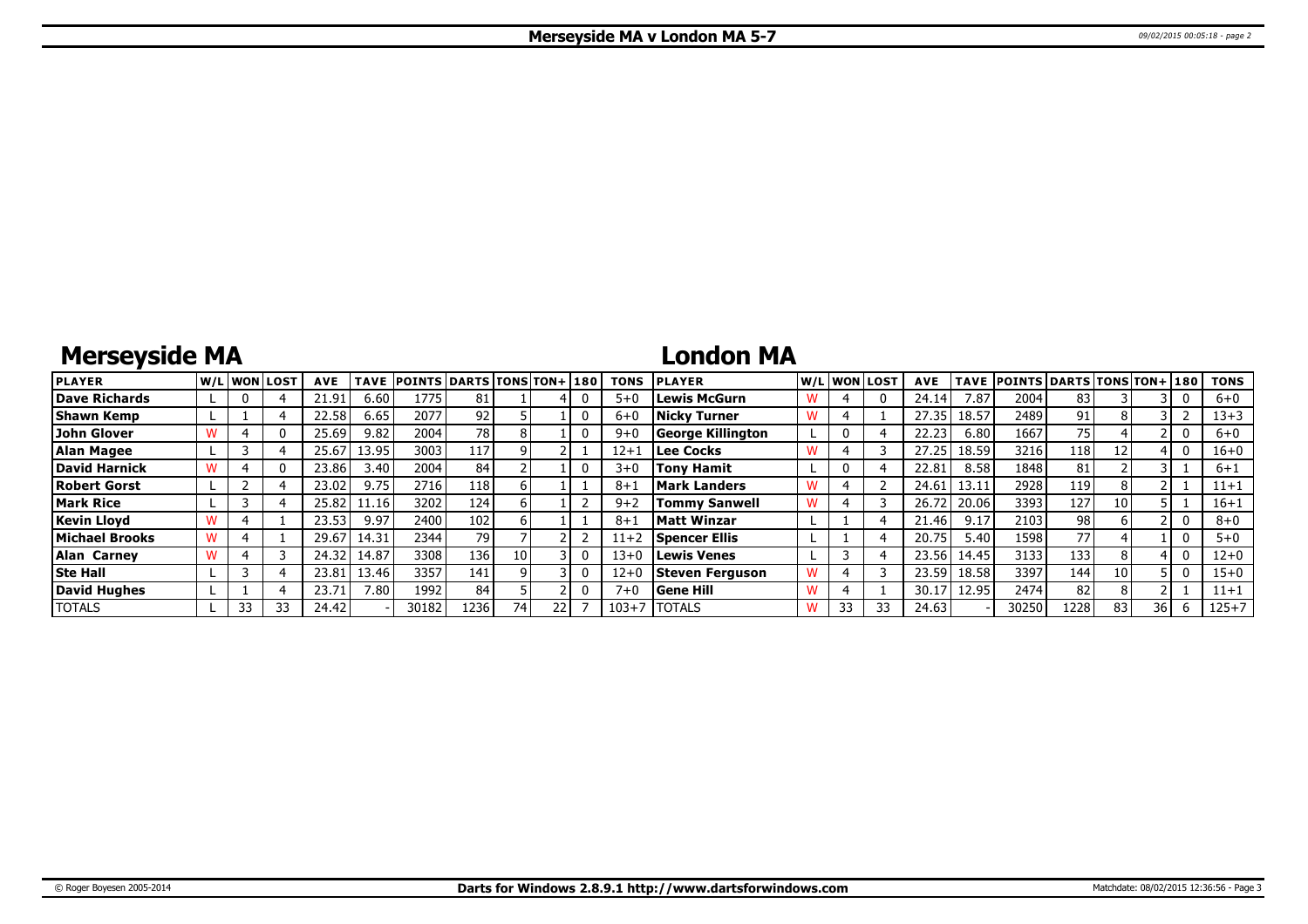# **Merseyside MA**

### **London MA**

| <b>PLAYER</b>         |    | lw/Llwonllost | <b>AVE</b> | <b>TAVE</b> | <b>POINTS DARTS TONS TON+180</b> |      |     |    | <b>TONS</b> | <b>PLAYER</b>        |    | W/L WON LOST | <b>AVE</b> | TAVE  | <b>POINTS DARTS TONS TON+ 180</b> |      |      |    | <b>TONS</b> |
|-----------------------|----|---------------|------------|-------------|----------------------------------|------|-----|----|-------------|----------------------|----|--------------|------------|-------|-----------------------------------|------|------|----|-------------|
| Dave Richards         |    |               | 21.91      | 6.60        | 1775                             | 81   |     |    | $5 + C$     | Lewis McGurn         |    |              | 24.14      | 7.87  | 2004                              | 83   |      |    | $6+0$       |
| <b>Shawn Kemp</b>     |    |               | 22.58      | 6.65        | 2077                             | 92   |     |    | $6 + C$     | <b>Nicky Turner</b>  |    |              | 27.35      | 18.57 | 2489                              | 91   |      |    | $13 + 3$    |
| John Glover           |    |               | 25.69      | 9.82        | 2004                             | 78   |     |    | $9 + 0$     | George Killington    | 0  |              | 22.23      | 6.80  | 1667                              | 75   |      |    | $6+0$       |
| Alan Magee            |    |               | 25.67      | 13.95       | 3003                             | 117  |     |    | $12 + 1$    | Lee Cocks            |    |              | 27.25      | 18.59 | 3216                              | 118  | 12   |    | 16+0        |
| <b>David Harnick</b>  |    | $^{(1)}$      | 23.86      | 3.40        | 2004                             | 84   |     |    | $3 + C$     | <b>Tony Hamit</b>    | 0  |              | 22.81      | 8.58  | 1848                              | 81   |      |    | $6 + 1$     |
| <b>Robert Gorst</b>   |    |               | 23.02      | 9.75        | 2716                             | 118  |     |    | $8 + 1$     | Mark Landers         |    |              | 24.61      | 13.11 | 2928                              | 119' |      |    | $11 + 1$    |
| <b>Mark Rice</b>      |    |               | 25.82      | 11.16       | 3202                             | 124  |     |    | $9 + 2$     | <b>Tommy Sanwell</b> |    |              | 26.7       | 20.06 | 3393                              | 127  | 10   |    | $16 + 1$    |
| <b>Kevin Llovd</b>    |    |               | 23.53      | 9.97        | 2400                             | 102  |     |    | $8 + 1$     | Matt Winzar          |    |              | 21.46      | 9.17  | 2103                              | 98   |      |    | $8 + 0$     |
| <b>Michael Brooks</b> |    |               | 29.67      | 14.31       | 2344                             | 79   |     |    | $11+2$      | Spencer Ellis        |    |              | 20.75      | 5.40  | 1598                              | 77   |      |    | $5 + 0$     |
| <b>Alan Carney</b>    |    |               | 24.32      | 14.87       | 3308                             | 136  | 101 |    | $13 + 0$    | Lewis Venes          |    |              | 23.56      | 14.45 | 3133                              | 133  |      |    | 12+0        |
| <b>Ste Hall</b>       |    |               | 23.81      | 13.46       | 3357                             | 141  |     |    | $12 + 0$    | Steven Ferguson      |    |              | 23.59      | 18.58 | 3397                              | 144  | 10 I |    | $15 + 0$    |
| <b>David Hughes</b>   |    |               | 23.71      | 7.80        | 1992                             | 84   |     |    | $7 + 0$     | <b>Gene Hill</b>     |    |              | 30.17      | 12.95 | 2474                              | 82   |      |    | $11 + 1$    |
| <b>TOTALS</b>         | 33 | 33            | 24.42      |             | 30182                            | 1236 | 74  | 22 | $103 + 7$   | <b>ITOTALS</b>       | 33 |              | 24.63      |       | 30250                             | 1228 | 83   | 36 | $125 + 7$   |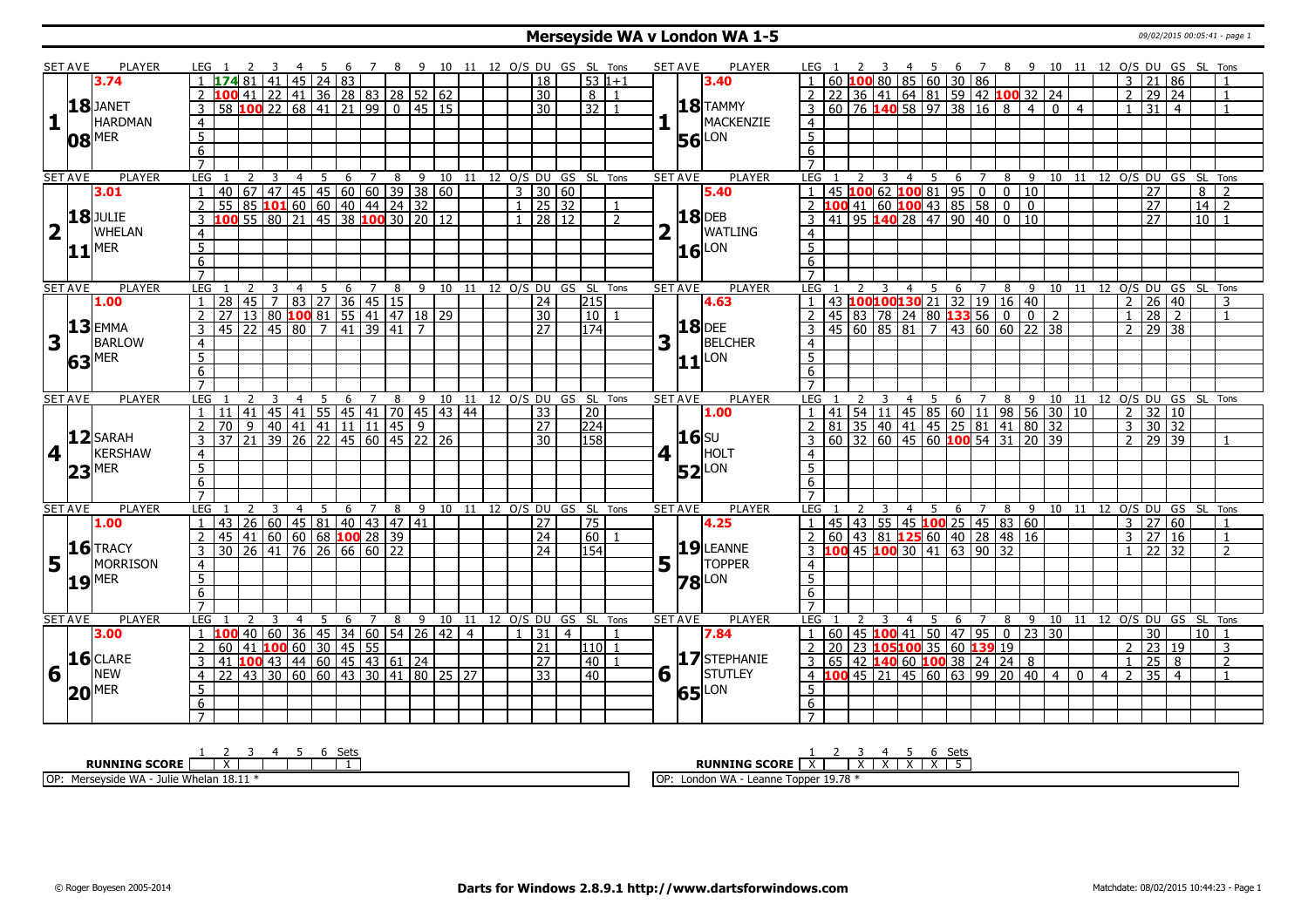#### **Merseyside WA v London WA 1-5** 09/02/2015 00:05:41 - page 1

|                         | <b>SET AVE</b> | <b>PLAYER</b>       | LEG 1                          |                                                                                                                       | -3                      | 45             |                                       |    |                |   |                                                      |  |                              |                 |                         | 6 7 8 9 10 11 12 O/S DU GS SL Tons |                | <b>SET AVE</b>                 | PLAYER              | LEG 1               |                                                                                                     |                         |                |                        |                |                |   |                |   |                |                | 2 3 4 5 6 7 8 9 10 11 12 O/S DU GS SL Tons |                     |                                        |                   |                |
|-------------------------|----------------|---------------------|--------------------------------|-----------------------------------------------------------------------------------------------------------------------|-------------------------|----------------|---------------------------------------|----|----------------|---|------------------------------------------------------|--|------------------------------|-----------------|-------------------------|------------------------------------|----------------|--------------------------------|---------------------|---------------------|-----------------------------------------------------------------------------------------------------|-------------------------|----------------|------------------------|----------------|----------------|---|----------------|---|----------------|----------------|--------------------------------------------|---------------------|----------------------------------------|-------------------|----------------|
|                         |                | 3.74                |                                |                                                                                                                       | 41                      | 45             | 24 83                                 |    |                |   |                                                      |  |                              | <sup>18</sup>   |                         | $53 1+1$                           |                |                                | 3.40                |                     |                                                                                                     |                         |                |                        |                |                |   |                |   |                |                |                                            | $3 \mid 21 \mid 86$ |                                        |                   |                |
|                         |                |                     |                                | 100 41 22 41 36 28 83 28 52 62                                                                                        |                         |                |                                       |    |                |   |                                                      |  |                              | 30              |                         | $8 \mid 1$                         |                |                                |                     |                     |                                                                                                     |                         |                |                        |                |                |   |                |   |                |                |                                            | 2   29   24         |                                        |                   | $\overline{1}$ |
|                         |                | 18JANET             | 3                              | $\overline{58}$                                                                                                       |                         |                |                                       |    |                |   | $100$ 22 68 41 21 99 0 45 15                         |  |                              | $\overline{30}$ |                         | $32$   1                           |                |                                | $18$ TAMMY          |                     | <u>1 60 100 80 85 60 30 86</u><br>2 22 36 41 64 81 59 42 100 32 24<br>3 60 76 140 58 97 38 16 8 4 0 |                         |                |                        |                |                |   |                |   | $\overline{4}$ |                |                                            | 31                  | $\overline{4}$                         |                   | $\overline{1}$ |
| $\mathbf{1}$            |                | <b>HARDMAN</b>      |                                |                                                                                                                       |                         |                |                                       |    |                |   |                                                      |  |                              |                 |                         |                                    |                |                                | MACKENZIE           |                     |                                                                                                     |                         |                |                        |                |                |   |                |   |                |                |                                            |                     |                                        |                   |                |
|                         |                |                     | $\overline{4}$                 |                                                                                                                       |                         |                |                                       |    |                |   |                                                      |  |                              |                 |                         |                                    |                |                                |                     | $\overline{4}$      |                                                                                                     |                         |                |                        |                |                |   |                |   |                |                |                                            |                     |                                        |                   |                |
|                         |                | $08$ <sup>MER</sup> | $\overline{5}$                 |                                                                                                                       |                         |                |                                       |    |                |   |                                                      |  |                              |                 |                         |                                    |                | 56                             | LON                 | $\overline{5}$      |                                                                                                     |                         |                |                        |                |                |   |                |   |                |                |                                            |                     |                                        |                   |                |
|                         |                |                     | $\overline{6}$                 |                                                                                                                       |                         |                |                                       |    |                |   |                                                      |  |                              |                 |                         |                                    |                |                                |                     | 6                   |                                                                                                     |                         |                |                        |                |                |   |                |   |                |                |                                            |                     |                                        |                   |                |
|                         |                |                     | $\overline{7}$                 |                                                                                                                       |                         |                |                                       |    |                |   |                                                      |  |                              |                 |                         |                                    |                |                                |                     | $\overline{7}$      |                                                                                                     |                         |                |                        |                |                |   |                |   |                |                |                                            |                     |                                        |                   |                |
|                         | <b>SET AVE</b> | <b>PLAYER</b>       | <b>LEG</b>                     | $\overline{2}$                                                                                                        | $\overline{\mathbf{3}}$ | $\overline{4}$ | $\overline{5}$                        |    |                |   |                                                      |  |                              |                 |                         | 6 7 8 9 10 11 12 0/S DU GS SL Tons |                | <b>SET AVE</b>                 | <b>PLAYER</b>       | LEG <sub>1</sub>    |                                                                                                     | $\overline{\mathbf{3}}$ |                |                        |                |                |   |                |   |                |                |                                            |                     | 4 5 6 7 8 9 10 11 12 0/S DU GS SL Tons |                   |                |
|                         |                | 3.01                | $\mathbf{1}$                   | 140 67 47 45 45 60 60 39 38 60<br>55 85 <b>101</b> 60 60 40 44 24 32<br><b>100</b> 55 80 21 45 38 <b>100</b> 30 20 12 |                         |                |                                       |    |                |   |                                                      |  | $3 \mid 30 \mid 60$          |                 |                         |                                    |                |                                | 5.40                |                     | 1 45 100 62 100 81 95 0 0 10<br>2 100 41 60 100 43 85 58 0 0                                        |                         |                |                        |                |                |   |                |   |                |                |                                            | $\overline{27}$     |                                        | 8                 | $\overline{2}$ |
|                         |                |                     | $\overline{2}$                 |                                                                                                                       |                         |                |                                       |    |                |   |                                                      |  | $1 \mid 25 \mid 32$          |                 |                         |                                    |                |                                |                     |                     |                                                                                                     |                         |                |                        |                |                |   |                |   |                |                |                                            | 27                  |                                        | $\overline{14}$ 2 |                |
|                         |                | <b>18</b> JULIE     | 3                              |                                                                                                                       |                         |                |                                       |    |                |   |                                                      |  |                              | 28   12         |                         | $\overline{z}$                     |                |                                | <b>18</b> DEB       |                     | 41 95 <b>140</b> 28 47 90 40 0 10                                                                   |                         |                |                        |                |                |   |                |   |                |                |                                            | 27                  |                                        | 10 <sup>1</sup>   |                |
| $\overline{\mathbf{2}}$ |                | <b>WHELAN</b>       | 4                              |                                                                                                                       |                         |                |                                       |    |                |   |                                                      |  |                              |                 |                         |                                    |                |                                | WATLING             | $\overline{4}$      |                                                                                                     |                         |                |                        |                |                |   |                |   |                |                |                                            |                     |                                        |                   |                |
|                         |                | $11$ <sup>MER</sup> | $\overline{5}$                 |                                                                                                                       |                         |                |                                       |    |                |   |                                                      |  |                              |                 |                         |                                    |                |                                |                     | $\overline{5}$      |                                                                                                     |                         |                |                        |                |                |   |                |   |                |                |                                            |                     |                                        |                   |                |
|                         |                |                     | 6                              |                                                                                                                       |                         |                |                                       |    |                |   |                                                      |  |                              |                 |                         |                                    |                |                                | $16$ LON            | 6                   |                                                                                                     |                         |                |                        |                |                |   |                |   |                |                |                                            |                     |                                        |                   |                |
|                         |                |                     | $\overline{7}$                 |                                                                                                                       |                         |                |                                       |    |                |   |                                                      |  |                              |                 |                         |                                    |                |                                |                     | $\overline{7}$      |                                                                                                     |                         |                |                        |                |                |   |                |   |                |                |                                            |                     |                                        |                   |                |
|                         |                |                     |                                |                                                                                                                       |                         |                |                                       |    |                |   |                                                      |  |                              |                 |                         |                                    |                |                                |                     |                     |                                                                                                     |                         |                |                        |                |                |   |                |   |                |                |                                            |                     |                                        |                   |                |
|                         | <b>SET AVE</b> | <b>PLAYER</b>       | LEG                            |                                                                                                                       |                         | $\overline{4}$ | 5 <sup>5</sup>                        | 6  | $\overline{7}$ | 8 |                                                      |  |                              |                 |                         | 9 10 11 12 O/S DU GS SL Tons       |                | <b>SET AVE</b>                 | <b>PLAYER</b>       | LEG                 |                                                                                                     |                         | $\overline{4}$ | 5 <sup>5</sup>         | 6              | 7              | 8 | $-9$           |   |                |                |                                            |                     | 10 11 12 O/S DU GS SL Tons             |                   |                |
|                         |                | 1.00                | $\mathbf{1}$                   | $\overline{28}$                                                                                                       |                         |                | 45 7 83 27 36 45 15                   |    |                |   |                                                      |  | 24                           |                 | 215                     |                                    |                |                                | 4.63                | $\mathbf{1}$        | 43 100100130 21 32 19 16 40                                                                         |                         |                |                        |                |                |   |                |   |                |                |                                            | $2 \mid 26 \mid 40$ |                                        |                   | 3              |
|                         |                | $13$ EMMA           | $\overline{2}$                 | 27                                                                                                                    |                         |                |                                       |    |                |   | 13 80 100 81 55 41 47 18 29                          |  |                              | $\overline{30}$ | 10 <sup>1</sup>         |                                    |                |                                |                     | $\overline{2}$      | 45 83 78 24 80 133 56 0                                                                             |                         |                |                        |                |                |   | $\overline{0}$ | 2 |                |                |                                            | $\overline{28}$     | $\overline{2}$                         |                   | $\overline{1}$ |
|                         |                |                     | $\overline{3}$                 | $45$ 22 45 80 7 41 39 41 7                                                                                            |                         |                |                                       |    |                |   |                                                      |  |                              | 27              | 174                     |                                    |                |                                | $18$ DEE            | 3                   | $\boxed{45}$ 60 85 81 7 43 60 60 22 38                                                              |                         |                |                        |                |                |   |                |   |                |                |                                            | $2 \mid 29 \mid 38$ |                                        |                   |                |
| 3                       |                | <b>BARLOW</b>       | $\overline{4}$                 |                                                                                                                       |                         |                |                                       |    |                |   |                                                      |  |                              |                 |                         |                                    | 3              |                                | <b>BELCHER</b>      | $\overline{4}$      |                                                                                                     |                         |                |                        |                |                |   |                |   |                |                |                                            |                     |                                        |                   |                |
|                         |                | 63 <sup>MER</sup>   | $\overline{5}$                 |                                                                                                                       |                         |                |                                       |    |                |   |                                                      |  |                              |                 |                         |                                    |                |                                | 11                  | $\overline{5}$      |                                                                                                     |                         |                |                        |                |                |   |                |   |                |                |                                            |                     |                                        |                   |                |
|                         |                |                     | 6                              |                                                                                                                       |                         |                |                                       |    |                |   |                                                      |  |                              |                 |                         |                                    |                |                                |                     | 6                   |                                                                                                     |                         |                |                        |                |                |   |                |   |                |                |                                            |                     |                                        |                   |                |
|                         |                |                     | $\overline{7}$                 |                                                                                                                       |                         |                |                                       |    |                |   |                                                      |  |                              |                 |                         |                                    |                |                                |                     |                     |                                                                                                     |                         |                |                        |                |                |   |                |   |                |                |                                            |                     |                                        |                   |                |
| <b>SET AVE</b>          |                | <b>PLAYER</b>       | <b>LEG</b>                     |                                                                                                                       |                         | 4              |                                       | 6  |                | 8 |                                                      |  | 9 10 11 12 O/S DU GS SL Tons |                 |                         |                                    |                | <b>SET AVE</b>                 | <b>PLAYER</b>       | LEG                 |                                                                                                     |                         | $\overline{4}$ | - 5                    | $\overline{6}$ | $\overline{7}$ |   |                |   |                |                |                                            |                     | 8 9 10 11 12 0/S DU GS SL Tons         |                   |                |
|                         |                |                     |                                |                                                                                                                       |                         |                |                                       |    |                |   |                                                      |  |                              |                 |                         |                                    |                |                                |                     |                     |                                                                                                     |                         |                |                        |                |                |   |                |   |                |                |                                            |                     |                                        |                   |                |
|                         |                |                     | $\mathbf{1}$                   | 41<br>11                                                                                                              |                         | 45   41        |                                       |    |                |   | $55 \mid 45 \mid 41 \mid 70 \mid 45 \mid 43 \mid 44$ |  | $\boxed{33}$                 |                 | $\overline{20}$         |                                    |                |                                | 1.00                |                     | 41   54   11   45   85   60   11   98   56   30   10                                                |                         |                |                        |                |                |   |                |   |                |                |                                            | $2 \mid 32 \mid 10$ |                                        |                   |                |
|                         |                |                     |                                | $\overline{70}$                                                                                                       |                         |                |                                       |    |                |   |                                                      |  | 27                           |                 |                         |                                    |                |                                |                     |                     |                                                                                                     |                         |                |                        |                |                |   |                |   |                |                |                                            | $3 \ 30 \ 32$       |                                        |                   |                |
|                         |                | $12$ SARAH          | $\overline{2}$<br>$\mathbf{3}$ | $\overline{21}$<br>37                                                                                                 |                         |                | $9$ 40 41 41 11 11 45 9               |    |                |   | 39 26 22 45 60 45 22 26                              |  |                              | $\overline{30}$ | 224<br>$\overline{158}$ |                                    |                | $16$ su                        |                     |                     | 81 35 40 41 45 25 81 41 80 32                                                                       |                         |                |                        |                |                |   |                |   |                |                | $\overline{2}$                             | $\overline{29}$     | 39                                     |                   | $\overline{1}$ |
|                         |                |                     |                                |                                                                                                                       |                         |                |                                       |    |                |   |                                                      |  |                              |                 |                         |                                    |                |                                |                     | $\overline{4}$      | $\overline{60}$ 32 60 45 60 100 54 31 20 39                                                         |                         |                |                        |                |                |   |                |   |                |                |                                            |                     |                                        |                   |                |
| $\vert$ 4 $\vert$ :     |                | KERSHAW             | $\overline{4}$                 |                                                                                                                       |                         |                |                                       |    |                |   |                                                      |  |                              |                 |                         |                                    |                | $4$   $\overline{\phantom{0}}$ | HOLT                |                     |                                                                                                     |                         |                |                        |                |                |   |                |   |                |                |                                            |                     |                                        |                   |                |
|                         | 23             | <b>MER</b>          | 5 <sup>2</sup>                 |                                                                                                                       |                         |                |                                       |    |                |   |                                                      |  |                              |                 |                         |                                    |                |                                | $52$ <sup>LON</sup> | 5 <sup>5</sup>      |                                                                                                     |                         |                |                        |                |                |   |                |   |                |                |                                            |                     |                                        |                   |                |
|                         |                |                     | 6 <sup>7</sup>                 |                                                                                                                       |                         |                |                                       |    |                |   |                                                      |  |                              |                 |                         |                                    |                |                                |                     | 6                   |                                                                                                     |                         |                |                        |                |                |   |                |   |                |                |                                            |                     |                                        |                   |                |
|                         |                |                     | $\overline{7}$                 |                                                                                                                       |                         |                |                                       |    |                |   |                                                      |  |                              |                 |                         |                                    |                |                                |                     | $\overline{7}$      |                                                                                                     |                         |                |                        |                |                |   |                |   |                |                |                                            |                     |                                        |                   |                |
|                         | <b>SET AVE</b> | <b>PLAYER</b>       | <b>LEG</b>                     |                                                                                                                       | 3                       | $\overline{4}$ | 5                                     |    | 6 7            |   |                                                      |  |                              |                 |                         | 8 9 10 11 12 O/S DU GS SL Tons     |                | <b>SET AVE</b>                 | <b>PLAYER</b>       | $LEG$ 1             |                                                                                                     | 3                       | -4             | 5                      |                |                |   |                |   |                |                |                                            |                     | 6 7 8 9 10 11 12 O/S DU GS SL Tons     |                   |                |
|                         |                | 1.00                | $\mathbf{1}$                   | 43 <sup>1</sup>                                                                                                       |                         |                | 26   60   45   81   40   43   47   41 |    |                |   |                                                      |  | 27                           |                 | $\overline{75}$         |                                    |                |                                | 4.25                |                     | $1   45   43   55   45$ 100 25 45 83 60                                                             |                         |                |                        |                |                |   |                |   |                |                |                                            | $3 \mid 27 \mid 60$ |                                        |                   | $\overline{1}$ |
|                         |                |                     | $2^{\circ}$                    | 45 41 60 60 68 100 28 39                                                                                              |                         |                |                                       |    |                |   |                                                      |  | $\sqrt{24}$                  |                 | 60                      |                                    |                |                                |                     | $\frac{1}{2}$       | 60 43 81 125 60 40 28 48 16                                                                         |                         |                |                        |                |                |   |                |   |                |                |                                            | $3 \mid 27 \mid 16$ |                                        |                   | $\overline{1}$ |
|                         |                | $16$ TRACY          | 3                              | 30 26 41 76 26 66 60 22                                                                                               |                         |                |                                       |    |                |   |                                                      |  |                              | $\overline{24}$ | 154                     |                                    |                |                                | $19$ LEANNE         |                     | $3 \mid 100 \mid 45 \mid 100 \mid 30 \mid 41 \mid 63 \mid 90 \mid 32$                               |                         |                |                        |                |                |   |                |   |                |                |                                            |                     | $22 \mid 32$                           |                   | $\overline{2}$ |
|                         | $5\vert$       | MORRISON            | 4                              |                                                                                                                       |                         |                |                                       |    |                |   |                                                      |  |                              |                 |                         |                                    | 5 <sup>1</sup> |                                | <b>TOPPER</b>       | $\overline{4}$      |                                                                                                     |                         |                |                        |                |                |   |                |   |                |                |                                            |                     |                                        |                   |                |
|                         |                |                     | $\overline{5}$                 |                                                                                                                       |                         |                |                                       |    |                |   |                                                      |  |                              |                 |                         |                                    |                |                                |                     | $5\overline{5}$     |                                                                                                     |                         |                |                        |                |                |   |                |   |                |                |                                            |                     |                                        |                   |                |
|                         |                | $19$ <sup>MER</sup> | $\overline{6}$                 |                                                                                                                       |                         |                |                                       |    |                |   |                                                      |  |                              |                 |                         |                                    |                |                                | <b>78</b> LON       | 6                   |                                                                                                     |                         |                |                        |                |                |   |                |   |                |                |                                            |                     |                                        |                   |                |
|                         |                |                     | $\overline{7}$                 |                                                                                                                       |                         |                |                                       |    |                |   |                                                      |  |                              |                 |                         |                                    |                |                                |                     | $\overline{7}$      |                                                                                                     |                         |                |                        |                |                |   |                |   |                |                |                                            |                     |                                        |                   |                |
|                         | <b>SET AVE</b> | <b>PLAYER</b>       | LEG                            |                                                                                                                       | ्र                      | $\overline{4}$ | .5.                                   | -6 | 7              | 8 | 9 10                                                 |  | 11 12 0/S DU GS SL Tons      |                 |                         |                                    |                | <b>SET AVE</b>                 | <b>PLAYER</b>       | LEG 1               |                                                                                                     |                         |                | -5                     | -6             | 7              | 8 |                |   |                |                |                                            |                     | 9 10 11 12 O/S DU GS SL Tons           |                   |                |
|                         |                | 3.00                | $\mathbf{1}$                   | 100                                                                                                                   | 40 60                   |                |                                       |    |                |   |                                                      |  | $1 \mid 31 \mid 4$           |                 |                         | $\mathbf{1}$                       |                |                                | 7.84                |                     |                                                                                                     |                         |                |                        |                |                |   |                |   |                |                |                                            | $\overline{30}$     |                                        | 10 <sup>1</sup>   | $\overline{1}$ |
|                         |                |                     | $\overline{2}$                 | 60                                                                                                                    |                         |                |                                       |    |                |   | 36 45 34 60 54 26 42 4                               |  | $\overline{21}$              |                 |                         | l110l 1                            |                |                                |                     | 2                   | $60$   45 <b>100</b> 41   50   47   95   0   23   30<br>$\overline{20}$                             |                         |                | 23 105100 35 60 139 19 |                |                |   |                |   |                |                | $\overline{2}$                             | 23                  | 19                                     |                   | 3              |
|                         |                | $16$ CLARE          | 3                              |                                                                                                                       |                         |                | 41 100 60 30 45 55                    |    |                |   |                                                      |  | $\overline{27}$              |                 |                         | $40$   1                           |                |                                | $17$ STEPHANIE      |                     |                                                                                                     |                         |                |                        |                |                |   |                |   |                |                | $\overline{1}$                             | $\overline{25}$     | 8                                      |                   | $\overline{2}$ |
|                         |                |                     |                                | 41 100 43 44 60 45 43 61 24<br>22                                                                                     |                         |                |                                       |    |                |   |                                                      |  |                              |                 |                         |                                    |                |                                |                     |                     | $3 65 42$ 140 60 100 38 24 24 8                                                                     |                         |                |                        |                |                |   |                |   |                |                |                                            |                     | $\overline{4}$                         |                   | $\overline{1}$ |
| 6                       |                | <b>NEW</b>          | $\overline{4}$                 |                                                                                                                       |                         |                |                                       |    |                |   | 43 30 60 60 43 30 41 80 25 27                        |  | 33                           |                 | $\overline{40}$         |                                    | 6 <sup>1</sup> |                                | <b>STUTLEY</b>      |                     | $4$ 100 45 21                                                                                       |                         |                | 45 60 63 99 20 40 4    |                |                |   |                |   | $\mathbf{0}$   | $\overline{4}$ | 2                                          | $\overline{35}$     |                                        |                   |                |
|                         |                | $20^{\text{MER}}$   | 5                              |                                                                                                                       |                         |                |                                       |    |                |   |                                                      |  |                              |                 |                         |                                    |                | 65                             | LON                 | 5                   |                                                                                                     |                         |                |                        |                |                |   |                |   |                |                |                                            |                     |                                        |                   |                |
|                         |                |                     | 6<br>$\overline{7}$            |                                                                                                                       |                         |                |                                       |    |                |   |                                                      |  |                              |                 |                         |                                    |                |                                |                     | 6<br>$\overline{7}$ |                                                                                                     |                         |                |                        |                |                |   |                |   |                |                |                                            |                     |                                        |                   |                |

| Sets                                                                     | Sets                                          |
|--------------------------------------------------------------------------|-----------------------------------------------|
| <b>RUNNING SCORE</b><br>$\lambda$<br>$\lambda$                           | <b>INING</b><br><b>SCORE</b><br>RU∣           |
| : WA<br>∩D∙<br>'ulie Whelan<br>Marcovcido<br>18.1.<br><b>PICISEVSIUL</b> | 19.78<br>London WA<br>loi<br>Topper<br>Leanne |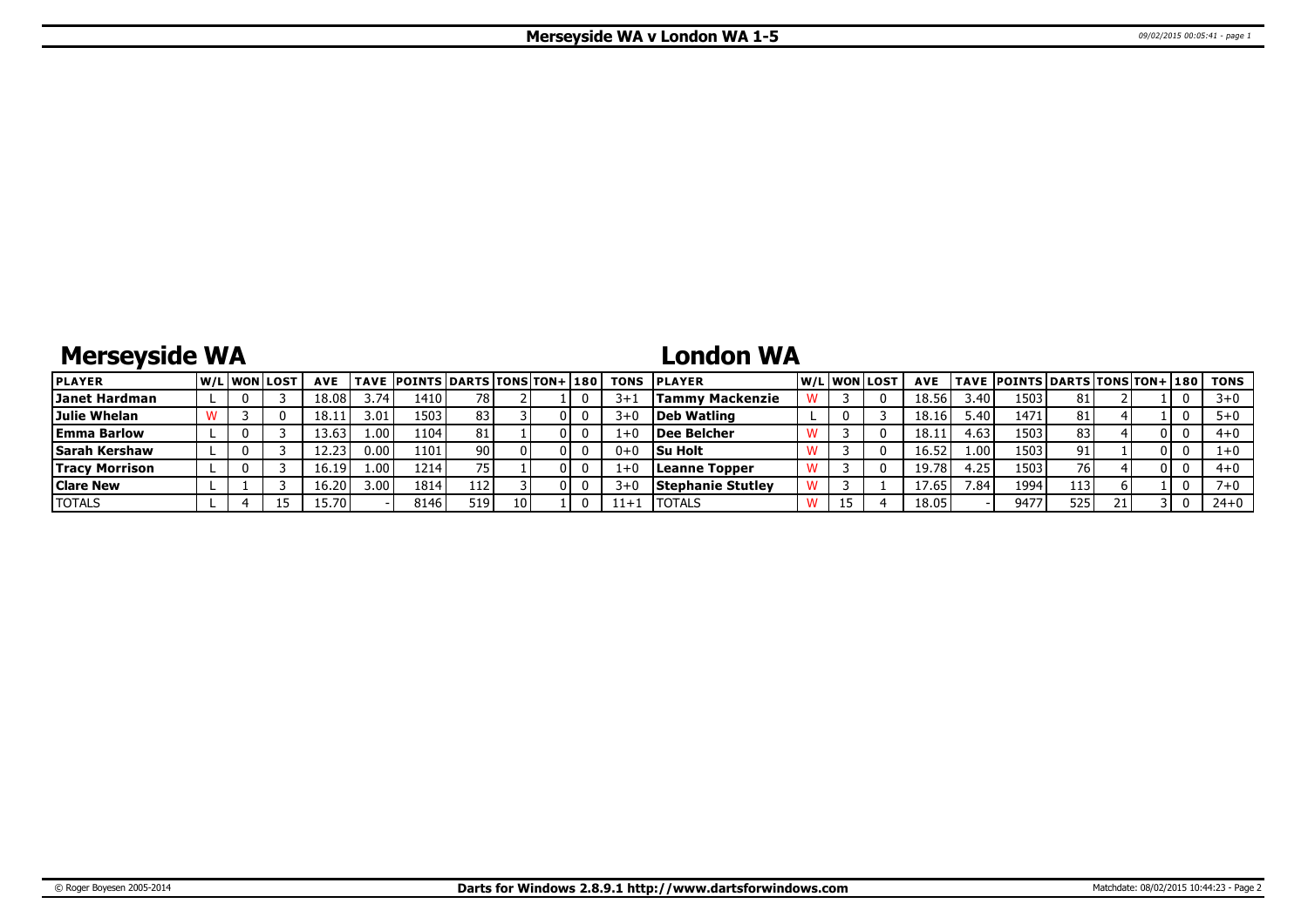# **Merseyside WA**

## **London WA**

| <b>PLAYER</b>         |  | <u>IW/LIWONILOST</u> | <b>AVE</b> |                   | <b>TAVE POINTS DARTS TONS TON+ 180</b> |      |  |         | <b>TONS PLAYER</b>       |      | lw/Llwonllost | <b>AVE</b> |      | TAVE  POINTS   DARTS   TONS   TON+   180 |     |    |     | TONS     |
|-----------------------|--|----------------------|------------|-------------------|----------------------------------------|------|--|---------|--------------------------|------|---------------|------------|------|------------------------------------------|-----|----|-----|----------|
| Janet Hardman         |  |                      | 18.08      | 3.74              | 1410                                   | 78 I |  | $3 + 1$ | Tammy Mackenzie          |      |               | 18.56      | .40  | 1503                                     | 81  |    |     | $3 + 0$  |
| Julie Whelan          |  |                      | 18.11      | 3.01.             | 1503                                   | 83   |  | $3 + C$ | Deb Watling              |      |               | 18.16      | 5.40 | 1471                                     | 81  |    |     |          |
| <b>Emma Barlow</b>    |  |                      | 13.63      | 1.00 <sup>1</sup> | 1104'                                  |      |  |         | Dee Belcher              |      |               | 18.1       | 4.63 | 1503                                     | 83  |    | 0 I | $4 + 0$  |
| <b>Sarah Kershaw</b>  |  |                      | $\sim$     | 0.00              | 1101                                   | 90 I |  | $0+0$   | <b>Su Holt</b>           |      |               | 16.52      | 1.00 | 1503                                     | 91  |    | 01  |          |
| <b>Tracy Morrison</b> |  |                      |            | .00'              | 1214                                   |      |  |         | Leanne Topper            |      |               | 19.78      | .25  | 1503                                     | 76  |    | ΩL  | $4 + 0$  |
| <b>Clare New</b>      |  |                      | 16.20'     | 3.00 <sub>1</sub> | 1814                                   | 112  |  | $3+$    | <b>Stephanie Stutley</b> |      |               | 17.65      | .84  | 1994                                     | 113 |    |     |          |
| <b>TOTALS</b>         |  | 15                   | 15.701     |                   | 8146                                   | 519  |  | 11+:    | <b>ITOTALS</b>           | ن نه |               | 18.05      |      | 9477                                     | 525 | 21 |     | $24 + 0$ |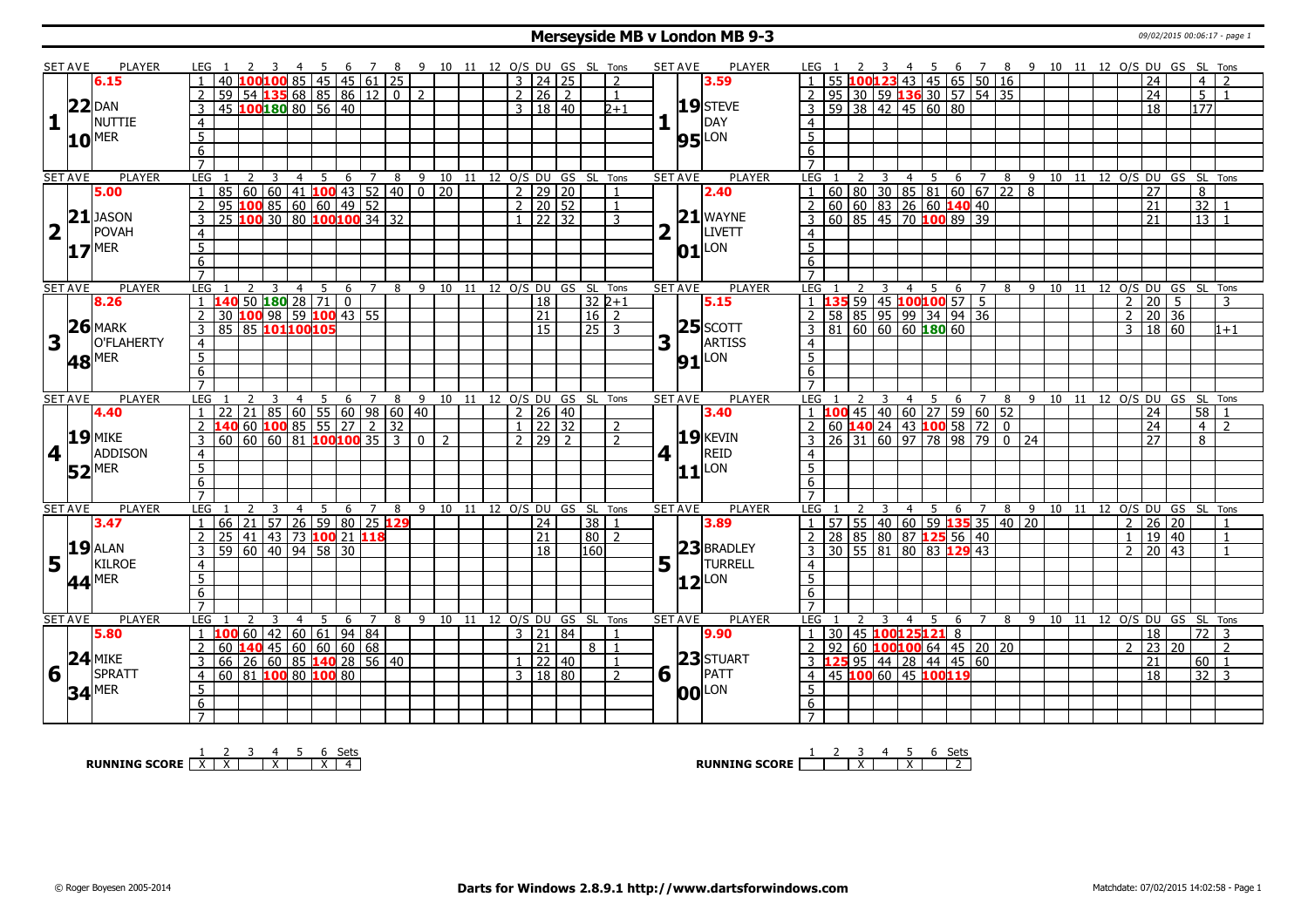#### **Merseyside MB v London MB 9-3** 09/02/2015 00:06:17 - page 1

|                         | <b>SET AVE</b> | <b>PLAYER</b>       | LEG 1               |                                                                      |                                                                                                                                                                                                                                                    |                    |                |   |   |             |   | 3  4  5  6  7  8  9  10  11  12  O/S  DU  GS  SL  Tons |  |                |                                 |          |                |     | <b>SET AVE</b> | PLAYER                     | LEG 1            |                                                                                             |   |                | 4 5 6 7 8 9 10 11 12 O/S DU GS SL Tons |   |                |                |     |                                        |    |                |                     |       |                |                                |  |
|-------------------------|----------------|---------------------|---------------------|----------------------------------------------------------------------|----------------------------------------------------------------------------------------------------------------------------------------------------------------------------------------------------------------------------------------------------|--------------------|----------------|---|---|-------------|---|--------------------------------------------------------|--|----------------|---------------------------------|----------|----------------|-----|----------------|----------------------------|------------------|---------------------------------------------------------------------------------------------|---|----------------|----------------------------------------|---|----------------|----------------|-----|----------------------------------------|----|----------------|---------------------|-------|----------------|--------------------------------|--|
|                         |                | 6.15                |                     | -40 li                                                               | LOO <mark>100</mark> 85   45   45   61   25                                                                                                                                                                                                        |                    |                |   |   |             |   |                                                        |  |                | $3 \mid 24 \mid 25$             |          | $\mathcal{P}$  |     |                | 3.59                       |                  |                                                                                             |   |                | $.00123$ 43 45 65 50 16                |   |                |                |     |                                        |    |                | 24                  |       | $\overline{4}$ |                                |  |
|                         |                |                     |                     | 59   54   135   68   85   86   12   0                                |                                                                                                                                                                                                                                                    |                    |                |   |   |             | 2 |                                                        |  | $\overline{2}$ | 26 2                            |          | $\mathbf{1}$   |     |                |                            |                  | 95                                                                                          |   |                | $ 30 $ 59 <b>136</b> 30   57   54   35 |   |                |                |     |                                        |    |                | 24                  |       | 5 <sup>1</sup> |                                |  |
|                         |                | $22$ DAN            |                     | 45 100 180 80 56 40                                                  |                                                                                                                                                                                                                                                    |                    |                |   |   |             |   |                                                        |  |                | 3   18   40                     |          | $2 + 1$        |     |                | $19$ STEVE                 |                  | $59 \mid 38 \mid 42 \mid 45 \mid 60 \mid 80$                                                |   |                |                                        |   |                |                |     |                                        |    |                | 18                  |       | 177            |                                |  |
| $\mathbf{1}$            |                | <b>NUTTIE</b>       | $\overline{4}$      |                                                                      |                                                                                                                                                                                                                                                    |                    |                |   |   |             |   |                                                        |  |                |                                 |          |                |     |                | <b>IDAY</b>                | $\overline{4}$   |                                                                                             |   |                |                                        |   |                |                |     |                                        |    |                |                     |       |                |                                |  |
|                         |                |                     |                     |                                                                      |                                                                                                                                                                                                                                                    |                    |                |   |   |             |   |                                                        |  |                |                                 |          |                |     |                |                            |                  |                                                                                             |   |                |                                        |   |                |                |     |                                        |    |                |                     |       |                |                                |  |
|                         |                | $10^{MER}$          | $\overline{5}$      |                                                                      |                                                                                                                                                                                                                                                    |                    |                |   |   |             |   |                                                        |  |                |                                 |          |                |     |                | $95$ <sup>LON</sup>        | $\overline{5}$   |                                                                                             |   |                |                                        |   |                |                |     |                                        |    |                |                     |       |                |                                |  |
|                         |                |                     | $6\overline{6}$     |                                                                      |                                                                                                                                                                                                                                                    |                    |                |   |   |             |   |                                                        |  |                |                                 |          |                |     |                |                            | 6                |                                                                                             |   |                |                                        |   |                |                |     |                                        |    |                |                     |       |                |                                |  |
|                         |                |                     | $\overline{7}$      |                                                                      |                                                                                                                                                                                                                                                    |                    |                |   |   |             |   |                                                        |  |                |                                 |          |                |     |                |                            | $\overline{7}$   |                                                                                             |   |                |                                        |   |                |                |     |                                        |    |                |                     |       |                |                                |  |
|                         | <b>SET AVE</b> | <b>PLAYER</b>       | <b>LEG</b>          | 2                                                                    | 3                                                                                                                                                                                                                                                  | $\overline{4}$     | $\overline{5}$ |   |   |             |   | 6 7 8 9 10 11 12 0/S DU GS SL Tons                     |  |                |                                 |          |                |     | <b>SET AVE</b> | <b>PLAYER</b>              | LEG              |                                                                                             | 3 |                | 4 5 6 7                                |   |                |                |     |                                        |    |                |                     |       |                | 8 9 10 11 12 0/S DU GS SL Tons |  |
|                         |                | 5.00                | 1                   | 85                                                                   | $\begin{array}{ c c c c c c c c c c c } \hline c_0 & 60 & 60 & 41 & \textbf{100} & 43 & 52 & 40 & 0 & 20 \\ \hline \textbf{100} & 85 & 60 & 60 & 49 & 52 & \\ \hline \textbf{100} & 30 & 80 & \textbf{100} & \textbf{100} & 34 & 32 & \end{array}$ |                    |                |   |   |             |   |                                                        |  |                | $2$   29   20                   |          | $\mathbf{1}$   |     |                | 2.40                       | $\mathbf{1}$     | 1 60 80 30 85 81 60 67 22 8<br>60 60 83 26 60 <b>140</b> 40<br>60 85 45 70 <b>100</b> 89 39 |   |                |                                        |   |                |                |     |                                        |    |                | $\overline{27}$     |       | 8              |                                |  |
|                         |                |                     | $\overline{2}$      | 95                                                                   |                                                                                                                                                                                                                                                    |                    |                |   |   |             |   |                                                        |  |                | $\frac{1}{2}$ 20 $\frac{1}{52}$ |          | $\mathbf{1}$   |     |                |                            | $\overline{2}$   |                                                                                             |   |                |                                        |   |                |                |     |                                        |    |                | 21                  |       |                | 32 1                           |  |
|                         |                | $21$ JASON          | 3                   | 25                                                                   |                                                                                                                                                                                                                                                    |                    |                |   |   |             |   |                                                        |  |                | $1 \overline{22} \overline{32}$ |          | 3              |     |                | $21$ WAYNE                 | $\overline{3}$   |                                                                                             |   |                |                                        |   |                |                |     |                                        |    |                | $\overline{21}$     |       | 13             |                                |  |
| $\overline{\mathbf{2}}$ | $\mathbf{L}$   | POVAH               | 4                   |                                                                      |                                                                                                                                                                                                                                                    |                    |                |   |   |             |   |                                                        |  |                |                                 |          |                |     | $\mathbf{L}$   | LIVETT                     | $\overline{4}$   |                                                                                             |   |                |                                        |   |                |                |     |                                        |    |                |                     |       |                |                                |  |
|                         |                | $17$ <sup>MER</sup> | $\overline{5}$      |                                                                      |                                                                                                                                                                                                                                                    |                    |                |   |   |             |   |                                                        |  |                |                                 |          |                |     |                | $01$ <sup>LON</sup>        | $\overline{5}$   |                                                                                             |   |                |                                        |   |                |                |     |                                        |    |                |                     |       |                |                                |  |
|                         |                |                     | 6                   |                                                                      |                                                                                                                                                                                                                                                    |                    |                |   |   |             |   |                                                        |  |                |                                 |          |                |     |                |                            | 6                |                                                                                             |   |                |                                        |   |                |                |     |                                        |    |                |                     |       |                |                                |  |
|                         |                |                     | $\overline{7}$      |                                                                      |                                                                                                                                                                                                                                                    |                    |                |   |   |             |   |                                                        |  |                |                                 |          |                |     |                |                            | $\overline{7}$   |                                                                                             |   |                |                                        |   |                |                |     |                                        |    |                |                     |       |                |                                |  |
|                         | <b>SET AVE</b> | <b>PLAYER</b>       | LEG                 |                                                                      |                                                                                                                                                                                                                                                    | $\overline{4}$     | 5              | 6 |   | $7^{\circ}$ | 8 | 9 10 11 12 O/S DU GS SL Tons                           |  |                |                                 |          |                |     | <b>SET AVE</b> | <b>PLAYER</b>              | LEG              |                                                                                             |   | $\overline{4}$ | 5                                      | 6 | $\overline{7}$ |                | 8 9 | 10                                     | 11 |                |                     |       |                | 12 O/S DU GS SL Tons           |  |
|                         |                | 8.26                |                     | 140                                                                  | 50 180 28 71 0                                                                                                                                                                                                                                     |                    |                |   |   |             |   |                                                        |  |                | 18                              | $32 2+1$ |                |     |                | 5.15                       | $\overline{1}$   | 35 59 45 100100 57 5                                                                        |   |                |                                        |   |                |                |     |                                        |    | $\overline{2}$ | 20                  | -5    |                | 3                              |  |
|                         |                |                     | 2                   | 30 100 98 59 100 43 55                                               |                                                                                                                                                                                                                                                    |                    |                |   |   |             |   |                                                        |  |                | $\overline{21}$                 | $16$   2 |                |     |                |                            | 2                | 58 85 95 99 34 94 36                                                                        |   |                |                                        |   |                |                |     |                                        |    |                | $2 \mid 20 \mid 36$ |       |                |                                |  |
|                         |                | $26$ MARK           | 3                   | 85 85 101 100 105                                                    |                                                                                                                                                                                                                                                    |                    |                |   |   |             |   |                                                        |  |                | $\overline{15}$                 | 25 3     |                |     |                | $25$ SCOTT                 | $\overline{3}$   | $81 \ 60 \ 60 \ 60 \ 180 \ 60$                                                              |   |                |                                        |   |                |                |     |                                        |    |                | 3   18   60         |       |                | $1 + 1$                        |  |
| 3                       |                | O'FLAHERTY          |                     |                                                                      |                                                                                                                                                                                                                                                    |                    |                |   |   |             |   |                                                        |  |                |                                 |          |                | 3   | H.             | ARTISS                     |                  |                                                                                             |   |                |                                        |   |                |                |     |                                        |    |                |                     |       |                |                                |  |
|                         |                |                     | $\overline{4}$      |                                                                      |                                                                                                                                                                                                                                                    |                    |                |   |   |             |   |                                                        |  |                |                                 |          |                |     |                |                            | $\overline{4}$   |                                                                                             |   |                |                                        |   |                |                |     |                                        |    |                |                     |       |                |                                |  |
|                         |                | <b>48 MER</b>       | $\overline{5}$      |                                                                      |                                                                                                                                                                                                                                                    |                    |                |   |   |             |   |                                                        |  |                |                                 |          |                |     |                | $91$ $LON$                 | $\overline{5}$   |                                                                                             |   |                |                                        |   |                |                |     |                                        |    |                |                     |       |                |                                |  |
|                         |                |                     | 6                   |                                                                      |                                                                                                                                                                                                                                                    |                    |                |   |   |             |   |                                                        |  |                |                                 |          |                |     |                |                            | 6                |                                                                                             |   |                |                                        |   |                |                |     |                                        |    |                |                     |       |                |                                |  |
|                         |                |                     | $\overline{7}$      |                                                                      |                                                                                                                                                                                                                                                    |                    |                |   |   |             |   |                                                        |  |                |                                 |          |                |     |                |                            |                  |                                                                                             |   |                |                                        |   |                |                |     |                                        |    |                |                     |       |                |                                |  |
|                         |                |                     |                     |                                                                      |                                                                                                                                                                                                                                                    |                    |                |   |   |             |   |                                                        |  |                |                                 |          |                |     | <b>SET AVE</b> | <b>PLAYER</b>              | LEG              |                                                                                             |   |                |                                        |   |                |                |     |                                        |    |                |                     |       |                |                                |  |
|                         | <b>SET AVE</b> | <b>PLAYER</b>       | LEG                 |                                                                      |                                                                                                                                                                                                                                                    | $\overline{4}$     | 5              |   |   |             |   | 6 7 8 9 10 11 12 O/S DU GS SL Tons                     |  |                |                                 |          |                |     |                |                            |                  |                                                                                             |   |                |                                        |   |                |                |     | 4 5 6 7 8 9 10 11 12 O/S DU GS SL Tons |    |                |                     |       |                |                                |  |
|                         |                | 4.40                |                     | $22 \mid 21 \mid 85 \mid 60 \mid 55 \mid 60 \mid 98 \mid 60 \mid 40$ |                                                                                                                                                                                                                                                    |                    |                |   |   |             |   |                                                        |  |                | $2 \mid 26 \mid 40$             |          |                |     |                | 3.40                       |                  | $100$ 45 40 60 27 59 60 52                                                                  |   |                |                                        |   |                |                |     |                                        |    |                | 24                  |       | 58             |                                |  |
|                         |                |                     |                     | 140 60 100 85 55 27 2 32                                             |                                                                                                                                                                                                                                                    |                    |                |   |   |             |   |                                                        |  |                | $1 \vert 22 \vert 32$           |          | $\mathcal{L}$  |     |                |                            | $\overline{2}$   | 60 140 24 43 100 58 72 0                                                                    |   |                |                                        |   |                |                |     |                                        |    |                | 24                  |       | $\overline{4}$ | $\overline{2}$                 |  |
|                         |                | $19$ MIKE           | 3                   | 60                                                                   | 60  60  81 <b> 100 100</b>   35   3   0   2                                                                                                                                                                                                        |                    |                |   |   |             |   |                                                        |  |                | 712977                          |          | $\mathcal{D}$  |     |                | $19$ <b>KEVIN</b>          | 3                | 26 31 60 97 78 98 79 0 24                                                                   |   |                |                                        |   |                |                |     |                                        |    |                | 27                  |       | 8              |                                |  |
|                         | 4 <sup>1</sup> | ADDISON             | $\overline{4}$      |                                                                      |                                                                                                                                                                                                                                                    |                    |                |   |   |             |   |                                                        |  |                |                                 |          |                | $4$ |                | REID                       | $\overline{4}$   |                                                                                             |   |                |                                        |   |                |                |     |                                        |    |                |                     |       |                |                                |  |
|                         |                |                     | $\overline{5}$      |                                                                      |                                                                                                                                                                                                                                                    |                    |                |   |   |             |   |                                                        |  |                |                                 |          |                |     |                |                            | $5\overline{)}$  |                                                                                             |   |                |                                        |   |                |                |     |                                        |    |                |                     |       |                |                                |  |
|                         |                | $52$ <sup>MER</sup> | $6\overline{6}$     |                                                                      |                                                                                                                                                                                                                                                    |                    |                |   |   |             |   |                                                        |  |                |                                 |          |                |     |                | $ 11 $ LON                 | 6                |                                                                                             |   |                |                                        |   |                |                |     |                                        |    |                |                     |       |                |                                |  |
|                         |                |                     | $\overline{7}$      |                                                                      |                                                                                                                                                                                                                                                    |                    |                |   |   |             |   |                                                        |  |                |                                 |          |                |     |                |                            | $\overline{7}$   |                                                                                             |   |                |                                        |   |                |                |     |                                        |    |                |                     |       |                |                                |  |
|                         | <b>SET AVE</b> | PLAYER              | LEG                 |                                                                      |                                                                                                                                                                                                                                                    | $\overline{4}$     | -5             | 6 |   | 7 8         |   | 9 10 11 12 O/S DU GS SL Tons                           |  |                |                                 |          |                |     | <b>SET AVE</b> | PLAYER                     | LEG              |                                                                                             |   | $\overline{4}$ | - 5                                    | 6 | $\overline{7}$ | 8 <sup>9</sup> |     |                                        |    |                |                     |       |                | 10 11 12 O/S DU GS SL Tons     |  |
|                         |                | 3.47                | $\overline{1}$      | 66<br> 21                                                            |                                                                                                                                                                                                                                                    | 57 26 59 80 25 129 |                |   |   |             |   |                                                        |  |                | $\overline{24}$                 | 38 1     |                |     |                | 3.89                       | -1               | 57   55   40   60   59 <b>135</b> 35   40   20                                              |   |                |                                        |   |                |                |     |                                        |    |                | $2 \mid 26 \mid 20$ |       |                |                                |  |
|                         |                |                     | $\overline{2}$      | 25                                                                   | 41 43 73 100 21 118                                                                                                                                                                                                                                |                    |                |   |   |             |   |                                                        |  |                | $\overline{21}$                 | 80       | $\overline{2}$ |     |                |                            | 2                | 28 85 80 87 125 56 40                                                                       |   |                |                                        |   |                |                |     |                                        |    | 1 <sup>1</sup> |                     | 19 40 |                | $\overline{1}$                 |  |
|                         |                | $19$ $ALAN$         | 3                   |                                                                      |                                                                                                                                                                                                                                                    |                    |                |   |   |             |   |                                                        |  |                | $\overline{18}$                 |          |                |     |                |                            | $\overline{3}$   |                                                                                             |   |                |                                        |   |                |                |     |                                        |    |                | $2 \mid 20 \mid 43$ |       |                |                                |  |
|                         | $\mathbf{L}$   |                     |                     | 59   60   40   94   58   30                                          |                                                                                                                                                                                                                                                    |                    |                |   |   |             |   |                                                        |  |                |                                 | 160      |                |     |                | 23 BRADLEY                 |                  | 30   55   81   80   83 129 43                                                               |   |                |                                        |   |                |                |     |                                        |    |                |                     |       |                |                                |  |
| 5                       |                | KILROE              | 4                   |                                                                      |                                                                                                                                                                                                                                                    |                    |                |   |   |             |   |                                                        |  |                |                                 |          |                |     |                | $5$ $\overline{1}$ TURRELL | $\overline{4}$   |                                                                                             |   |                |                                        |   |                |                |     |                                        |    |                |                     |       |                |                                |  |
|                         |                | 44 <sup>MER</sup>   | 5                   |                                                                      |                                                                                                                                                                                                                                                    |                    |                |   |   |             |   |                                                        |  |                |                                 |          |                |     |                | $12$ <sup>LON</sup>        | 5                |                                                                                             |   |                |                                        |   |                |                |     |                                        |    |                |                     |       |                |                                |  |
|                         |                |                     | 6                   |                                                                      |                                                                                                                                                                                                                                                    |                    |                |   |   |             |   |                                                        |  |                |                                 |          |                |     |                |                            | 6                |                                                                                             |   |                |                                        |   |                |                |     |                                        |    |                |                     |       |                |                                |  |
|                         |                |                     | $\overline{7}$      |                                                                      |                                                                                                                                                                                                                                                    |                    |                |   |   |             |   |                                                        |  |                |                                 |          |                |     |                |                            | $\overline{7}$   |                                                                                             |   |                |                                        |   |                |                |     |                                        |    |                |                     |       |                |                                |  |
|                         | <b>SET AVE</b> | PLAYER              | LEG                 |                                                                      |                                                                                                                                                                                                                                                    | $\overline{4}$     | -5             | 6 | 7 |             |   | 8 9 10 11 12 O/S DU GS SL Tons                         |  |                |                                 |          |                |     | <b>SET AVE</b> | <b>PLAYER</b>              | LEG <sub>1</sub> |                                                                                             | 3 | 4              | 5 6                                    |   | $\overline{7}$ |                |     |                                        |    |                |                     |       |                | 8 9 10 11 12 0/S DU GS SL Tons |  |
|                         |                | 5.80                | $\cdot$ 1 $\cdot$   | 60<br>100                                                            |                                                                                                                                                                                                                                                    | 42 60 61 94 84     |                |   |   |             |   |                                                        |  |                | 3   21   84                     |          | $\mathbf{1}$   |     |                | 9.90                       | 1                | 30                                                                                          |   |                | 45 100125121 8                         |   |                |                |     |                                        |    |                | 18                  |       |                | 72 3                           |  |
|                         |                |                     | $\overline{2}$      | $60$ 140 45 60 60 60 68                                              |                                                                                                                                                                                                                                                    |                    |                |   |   |             |   |                                                        |  |                | $\overline{21}$                 | 8        | $\mathbf{1}$   |     |                |                            | <sup>2</sup>     | 92                                                                                          |   |                | 60   100   100   64   45   20   20     |   |                |                |     |                                        |    | $\mathcal{P}$  | $\overline{23}$     | 20    |                | 2                              |  |
|                         |                | $24$ MIKE           | 3                   | 66   26   60   85 <b>140</b>   28   56   40                          |                                                                                                                                                                                                                                                    |                    |                |   |   |             |   |                                                        |  |                | $1 \mid 22 \mid 40$             |          | $\overline{1}$ |     |                | 23 STUART                  |                  | 3 <b>125</b> 95 44 28 44 45 60                                                              |   |                |                                        |   |                |                |     |                                        |    |                | 21                  |       |                | 60   1                         |  |
| 6                       | H              | SPRATT              | $\overline{4}$      | 60 81 100 80 100 80                                                  |                                                                                                                                                                                                                                                    |                    |                |   |   |             |   |                                                        |  |                | 3   18   80                     |          | $\mathcal{P}$  |     | 6 1            | PATT                       | $\overline{4}$   | 45 100 60 45 100119                                                                         |   |                |                                        |   |                |                |     |                                        |    |                | $\overline{18}$     |       |                | $32 \mid 3$                    |  |
|                         |                |                     | 5                   |                                                                      |                                                                                                                                                                                                                                                    |                    |                |   |   |             |   |                                                        |  |                |                                 |          |                |     |                |                            | $\overline{5}$   |                                                                                             |   |                |                                        |   |                |                |     |                                        |    |                |                     |       |                |                                |  |
|                         |                | $34$ <sup>MER</sup> | 6<br>$\overline{7}$ |                                                                      |                                                                                                                                                                                                                                                    |                    |                |   |   |             |   |                                                        |  |                |                                 |          |                |     |                | <b>00</b> LON              | 6                |                                                                                             |   |                |                                        |   |                |                |     |                                        |    |                |                     |       |                |                                |  |

**RUNNING SCORE**  $\begin{array}{|c|c|c|c|c|}\n\hline\n & 2 & 3 & 4 & 5 & 6 & \text{Sets} \\
\hline\n\end{array}$ 

**RUNNING SCORE** 1 2 3 X 4 5 X 6 Sets 2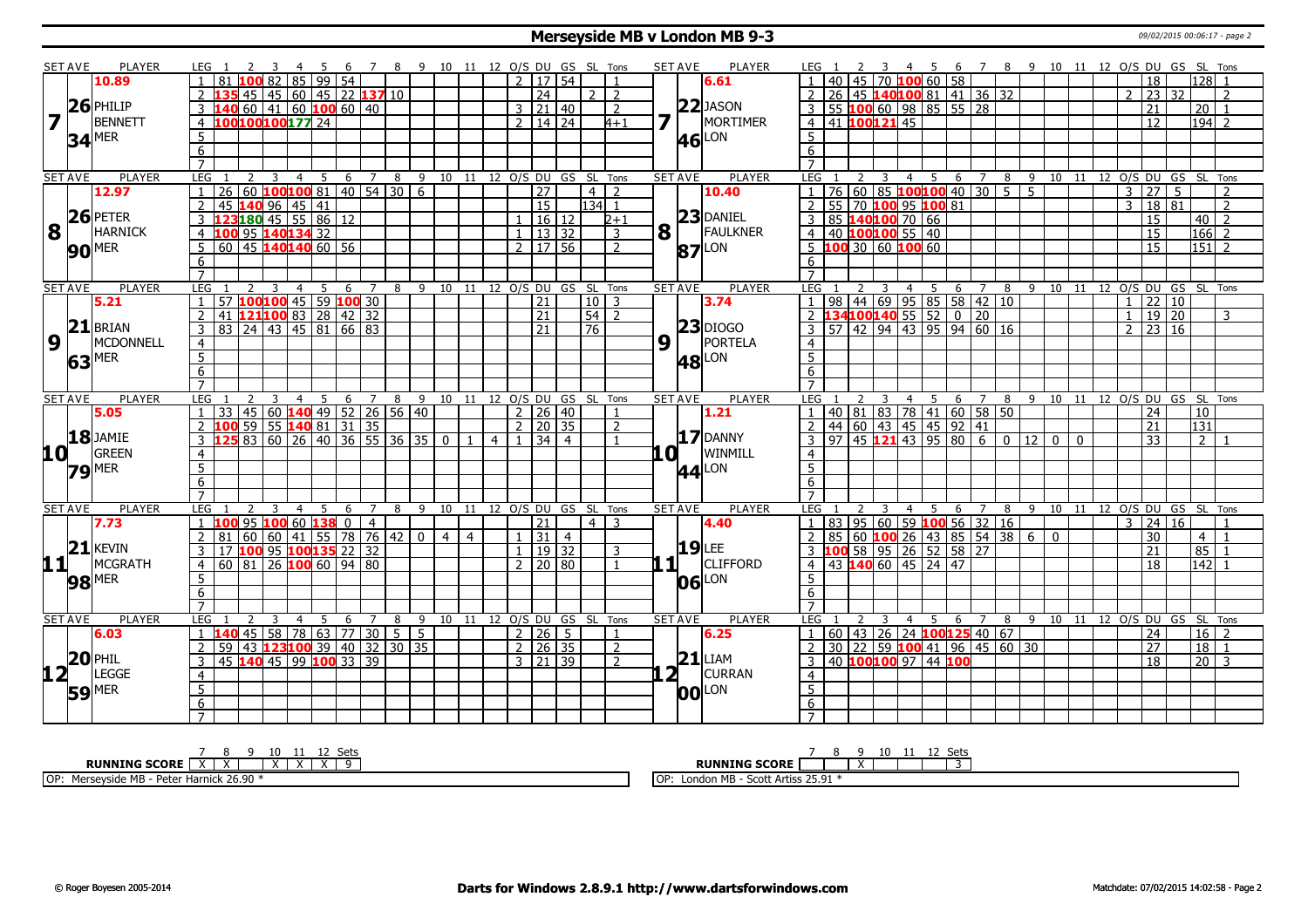#### **Merseyside MB v London MB 9-3** 09/02/2015 00:06:17 - page 2

|                                                 | SET AVE        | <b>PLAYER</b>       | LEG 1                                                                               |                     |                                      |                |   |     |                |     |              |                          |                | 6 7 8 9 10 11 12 O/S DU GS SL Tons |                |             | <b>SET AVE</b> | <b>PLAYER</b>   | LEG 1               |                 |                |                |                              |                       |                                                                               | 6 7 8 9 10 11 12 O/S DU GS SL Tons                                    |     |                                |  |                |                 |                            |                 |                |
|-------------------------------------------------|----------------|---------------------|-------------------------------------------------------------------------------------|---------------------|--------------------------------------|----------------|---|-----|----------------|-----|--------------|--------------------------|----------------|------------------------------------|----------------|-------------|----------------|-----------------|---------------------|-----------------|----------------|----------------|------------------------------|-----------------------|-------------------------------------------------------------------------------|-----------------------------------------------------------------------|-----|--------------------------------|--|----------------|-----------------|----------------------------|-----------------|----------------|
|                                                 |                | 10.89               | 81                                                                                  |                     | 82   85   99   54                    |                |   |     |                |     |              | $2 \mid 17 \mid 54$      |                |                                    | $\mathbf{1}$   |             |                | 6.61            | $\blacksquare$      |                 |                |                |                              |                       | $140$ $\overline{)45}$ $\overline{)70}$ $\overline{)100}$ 60 $\overline{)58}$ |                                                                       |     |                                |  |                | 18              |                            | $ 128 $ 1       |                |
|                                                 |                |                     | $\overline{2}$                                                                      |                     | 45 45 60 45 22 137 10                |                |   |     |                |     |              | $\overline{24}$          |                | 2 <sup>1</sup>                     | $\overline{2}$ |             |                |                 |                     |                 |                |                |                              |                       |                                                                               | 26 45 140100 81 41 36 32                                              |     |                                |  |                | 23              | 32                         |                 | $\mathcal{P}$  |
|                                                 |                | $26$ PHILIP         | 140 60 41 60 100 60 40                                                              |                     |                                      |                |   |     |                |     |              | $3 \mid 21 \mid 40$      |                |                                    | $\overline{2}$ |             |                | $22$ JASON      |                     |                 |                |                |                              |                       |                                                                               | $3$ 55 100 60 98 85 55 28                                             |     |                                |  |                | $\overline{21}$ |                            | $\overline{20}$ | $\overline{1}$ |
| $\overline{\mathbf{z}}$                         |                | <b>BENNETT</b>      | 100100100177 24<br>$\overline{4}$                                                   |                     |                                      |                |   |     |                |     |              | 2   14   24              |                |                                    | $4 + 1$        |             |                | MORTIMER        |                     |                 |                |                | $4 \overline{)41}$ 10012145  |                       |                                                                               |                                                                       |     |                                |  |                | 12              |                            | 194 2           |                |
|                                                 |                | $34$ <sup>MER</sup> | 5                                                                                   |                     |                                      |                |   |     |                |     |              |                          |                |                                    |                |             |                | LON             | 5                   |                 |                |                |                              |                       |                                                                               |                                                                       |     |                                |  |                |                 |                            |                 |                |
|                                                 |                |                     | 6                                                                                   |                     |                                      |                |   |     |                |     |              |                          |                |                                    |                |             | <b>46</b>      |                 | 6                   |                 |                |                |                              |                       |                                                                               |                                                                       |     |                                |  |                |                 |                            |                 |                |
|                                                 |                |                     | $\overline{7}$                                                                      |                     |                                      |                |   |     |                |     |              |                          |                |                                    |                |             |                |                 | $\overline{7}$      |                 |                |                |                              |                       |                                                                               |                                                                       |     |                                |  |                |                 |                            |                 |                |
|                                                 | <b>SET AVE</b> | PLAYER              | LEG<br>$\overline{2}$                                                               | 3<br>$\overline{4}$ | 5<br>6                               | 7              | 8 |     |                |     |              |                          |                | 9 10 11 12 O/S DU GS SL Tons       |                |             | <b>SET AVE</b> | <b>PLAYER</b>   | <b>LEG</b>          |                 | 2              | 3              |                              | - 5<br>$\overline{4}$ | 6                                                                             | $\overline{z}$                                                        |     | 8 9 10 11 12 O/S DU GS SL Tons |  |                |                 |                            |                 |                |
|                                                 |                | 12.97               | $\overline{26}$                                                                     |                     | 60 <b>100 100</b> 81 40 54 30 6      |                |   |     |                |     |              | $\overline{27}$          |                | $\overline{4}$                     | $\overline{z}$ |             |                | 10.40           | $\overline{1}$      | $\overline{76}$ |                |                |                              |                       |                                                                               | 60   85   <mark>100 100</mark> 40   30   5   5                        |     |                                |  | 3              | $\overline{27}$ | -5                         |                 | $\overline{z}$ |
|                                                 |                |                     | $140$ 96 45 41<br>$\overline{2}$<br>45                                              |                     |                                      |                |   |     |                |     |              | 15                       |                | 134 1                              |                |             |                |                 | $\overline{2}$      |                 |                |                |                              |                       | 55 70 100 95 100 81                                                           |                                                                       |     |                                |  | 3              |                 | 18 81                      |                 | $\overline{2}$ |
|                                                 |                | $26$ PETER          | 3180 45 55 86 12<br>$\mathbf{3}$                                                    |                     |                                      |                |   |     |                |     |              | 16 12                    |                |                                    | $2 + 1$        |             |                | $23$ DANIEL     |                     |                 |                |                | 3 85 140 100 70 66           |                       |                                                                               |                                                                       |     |                                |  |                | $\overline{15}$ |                            | 40              | $\overline{2}$ |
| $\overline{\mathbf{8}}$ $\overline{\mathbf{1}}$ |                | <b>HARNICK</b>      | 100 95 140134 32<br>$\overline{4}$                                                  |                     |                                      |                |   |     |                |     |              | $1 \mid 13 \mid 32$      |                |                                    | $\overline{3}$ | $8\sqrt{1}$ |                | FAULKNER        |                     |                 |                |                | 4   40   100   100   55   40 |                       |                                                                               |                                                                       |     |                                |  |                | $\overline{15}$ |                            | $166$ 2         |                |
|                                                 |                |                     | 60 45 140 140 60 56<br>5 <sup>5</sup>                                               |                     |                                      |                |   |     |                |     |              | 2 17 56                  |                |                                    | $\overline{2}$ |             |                | LON             |                     |                 |                |                | $5\,$ 100 30 60 100 60       |                       |                                                                               |                                                                       |     |                                |  |                | 15              |                            | $151$ 2         |                |
|                                                 |                | 90 <sup>MER</sup>   | 6                                                                                   |                     |                                      |                |   |     |                |     |              |                          |                |                                    |                |             | 87             |                 | 6                   |                 |                |                |                              |                       |                                                                               |                                                                       |     |                                |  |                |                 |                            |                 |                |
|                                                 |                |                     | $\overline{7}$                                                                      |                     |                                      |                |   |     |                |     |              |                          |                |                                    |                |             |                |                 |                     |                 |                |                |                              |                       |                                                                               |                                                                       |     |                                |  |                |                 |                            |                 |                |
|                                                 | <b>SET AVE</b> | <b>PLAYER</b>       | LEG <sub>1</sub>                                                                    | -3<br>4             | 5                                    |                |   |     |                |     |              |                          |                | 6 7 8 9 10 11 12 0/S DU GS SL Tons |                |             | <b>SET AVE</b> | <b>PLAYER</b>   | LEG <sub>1</sub>    |                 | $\overline{2}$ | $\overline{3}$ |                              |                       |                                                                               | 4 5 6 7 8 9 10 11 12 O/S DU GS SL Tons                                |     |                                |  |                |                 |                            |                 |                |
|                                                 |                | 5.21                | 100100 45 59 100 30<br>57                                                           |                     |                                      |                |   |     |                |     |              | $\overline{21}$          |                | $10\overline{3}$                   |                |             |                | 3.74            |                     |                 |                |                |                              |                       |                                                                               | 1 98 44 69 95 85 58 42 10                                             |     |                                |  | $\overline{1}$ |                 | 22 10                      |                 |                |
|                                                 |                |                     | 41 <b>121 100</b> 83 28 42 32                                                       |                     |                                      |                |   |     |                |     |              | 21                       |                | $\overline{54}$                    | $\overline{z}$ |             |                |                 |                     |                 |                |                |                              |                       |                                                                               | 2 134100140 55 52 0 20                                                |     |                                |  |                |                 | $19 \ 20$                  |                 | 3              |
|                                                 |                | $21$ BRIAN          | 83 24 43 45 81 66 83<br>$\overline{3}$                                              |                     |                                      |                |   |     |                |     |              | $\overline{21}$          |                | $\sqrt{76}$                        |                |             |                | $23$ DIOGO      |                     |                 |                |                |                              |                       |                                                                               | 3 57 42 94 43 95 94 60 16                                             |     |                                |  |                |                 | $2 \mid 23 \mid 16$        |                 |                |
| 9                                               |                | MCDONNELL           | $\overline{4}$                                                                      |                     |                                      |                |   |     |                |     |              |                          |                |                                    |                | $9\sqrt{1}$ |                | PORTELA         | $\overline{4}$      |                 |                |                |                              |                       |                                                                               |                                                                       |     |                                |  |                |                 |                            |                 |                |
|                                                 |                |                     | $\overline{5}$                                                                      |                     |                                      |                |   |     |                |     |              |                          |                |                                    |                |             |                |                 | $\overline{5}$      |                 |                |                |                              |                       |                                                                               |                                                                       |     |                                |  |                |                 |                            |                 |                |
|                                                 |                | $63$ <sup>MER</sup> | $\overline{6}$                                                                      |                     |                                      |                |   |     |                |     |              |                          |                |                                    |                |             |                | <b>48</b> LON   | $6\overline{}$      |                 |                |                |                              |                       |                                                                               |                                                                       |     |                                |  |                |                 |                            |                 |                |
|                                                 |                |                     | $\overline{7}$                                                                      |                     |                                      |                |   |     |                |     |              |                          |                |                                    |                |             |                |                 | $\overline{7}$      |                 |                |                |                              |                       |                                                                               |                                                                       |     |                                |  |                |                 |                            |                 |                |
|                                                 |                |                     |                                                                                     |                     |                                      |                |   |     |                |     |              |                          |                |                                    |                |             |                |                 |                     |                 |                |                |                              |                       |                                                                               |                                                                       |     |                                |  |                |                 |                            |                 |                |
|                                                 |                |                     |                                                                                     |                     |                                      |                |   |     |                |     |              |                          |                |                                    |                |             |                |                 |                     |                 |                |                |                              |                       |                                                                               |                                                                       |     |                                |  |                |                 |                            |                 |                |
|                                                 | <b>SET AVE</b> | <b>PLAYER</b>       | LEG                                                                                 | $\overline{4}$<br>3 | 5 6 7 8 9 10 11 12 O/S DU GS SL Tons |                |   |     |                |     |              |                          |                |                                    |                |             | <b>SET AVE</b> | <b>PLAYER</b>   | <b>LEG</b>          |                 |                | 3              |                              |                       |                                                                               | 4 5 6 7 8 9 10 11 12 O/S DU GS                                        |     |                                |  |                |                 |                            |                 | SL Tons        |
|                                                 |                | 5.05                | $145$ 60 <b>140</b> 49 52 26 56 40<br>$\mathbf{1}$<br>33                            |                     |                                      |                |   |     |                |     |              | $2 \mid 26 \mid 40$      |                |                                    |                |             |                | 1.21            |                     |                 |                |                |                              |                       |                                                                               | $1   40   81   83   78   41   60   58   50$                           |     |                                |  |                | 24              |                            | 10              |                |
|                                                 |                |                     | 2                                                                                   |                     | 59 55 140 81 31 35                   |                |   |     |                |     |              | $2 \times 120 \times 35$ |                |                                    | $\overline{2}$ |             |                |                 | $\overline{z}$      |                 |                |                |                              |                       |                                                                               | $144$ 60 43 45 45 92 41                                               |     |                                |  |                | 21              |                            | 131             |                |
|                                                 |                | $18$ JAMIE          | <b>125</b> 83 60 26 40 36 55 36 35 0 1<br>3                                         |                     |                                      |                |   |     |                | 4 I |              | $1 \vert 34 \vert 4$     |                |                                    |                |             |                | $17$ DANNY      |                     |                 |                |                |                              |                       |                                                                               | $\overline{3}$   97   45 <b>121</b> 43   95   80   6   0   12   0   0 |     |                                |  |                | 33 <sup>2</sup> |                            | 2 <sup>1</sup>  |                |
| <b>10</b> L                                     |                | <b>GREEN</b>        | $\overline{4}$                                                                      |                     |                                      |                |   |     |                |     |              |                          |                |                                    |                | (Q)         |                | WINMILL         | $\overline{4}$      |                 |                |                |                              |                       |                                                                               |                                                                       |     |                                |  |                |                 |                            |                 |                |
|                                                 |                | $79$ <sup>MER</sup> | $\overline{5}$                                                                      |                     |                                      |                |   |     |                |     |              |                          |                |                                    |                |             |                | <b>44</b> LON   | $\overline{5}$      |                 |                |                |                              |                       |                                                                               |                                                                       |     |                                |  |                |                 |                            |                 |                |
|                                                 |                |                     | $6\overline{6}$                                                                     |                     |                                      |                |   |     |                |     |              |                          |                |                                    |                |             |                |                 | 6                   |                 |                |                |                              |                       |                                                                               |                                                                       |     |                                |  |                |                 |                            |                 |                |
|                                                 |                |                     | $\overline{7}$                                                                      |                     |                                      |                |   |     |                |     |              |                          |                |                                    |                |             |                |                 | 7                   |                 |                |                |                              |                       |                                                                               |                                                                       |     |                                |  |                |                 |                            |                 |                |
|                                                 | <b>SET AVE</b> | <b>PLAYER</b>       | LEG                                                                                 |                     |                                      |                | 8 |     |                |     |              |                          |                | 9 10 11 12 O/S DU GS SL Tons       |                |             | <b>SET AVE</b> | <b>PLAYER</b>   | LEG                 |                 |                |                | 4                            |                       | 6                                                                             |                                                                       | 8 9 |                                |  |                |                 | 10 11 12 O/S DU GS SL Tons |                 |                |
|                                                 |                | 7.73                | 100 95 100 60 138 0 1                                                               |                     |                                      | $\overline{4}$ |   |     |                |     |              | 21                       |                | 4 3                                |                |             |                | 4.40            | $\overline{1}$      |                 |                |                |                              |                       |                                                                               | $ 83 95 60 59$ 100 56 32 16                                           |     |                                |  | 3              |                 | 24 16                      |                 |                |
|                                                 |                |                     | 81                                                                                  |                     | 60 60 41 55 78 76 42 0               |                |   | 4 I | $\overline{4}$ |     | $1 \mid 31$  |                          | $\overline{4}$ |                                    |                |             |                |                 | $\overline{2}$      |                 |                |                |                              |                       |                                                                               | 85 60 100 26 43 85 54 38 6                                            |     | $\mathbf{0}$                   |  |                | 30              |                            | $\overline{4}$  |                |
|                                                 |                | $21$ <b>KEVIN</b>   | 100 95 100 135 22 32<br>3<br>17                                                     |                     |                                      |                |   |     |                |     | $\mathbf{1}$ | 19 32                    |                |                                    | 3              |             | $19$ LEE       |                 |                     |                 |                |                |                              |                       |                                                                               | 3 100 58 95 26 52 58 27                                               |     |                                |  |                | 21              |                            | 85              |                |
| 11                                              |                | MCGRATH             | 60 81 26 100 60 94 80<br>$\overline{4}$                                             |                     |                                      |                |   |     |                |     |              | 2 20 80                  |                |                                    | $\overline{1}$ | 11          |                | <b>CLIFFORD</b> |                     |                 |                |                |                              |                       | $4 \overline{)43}$ 140 60 45 24 47                                            |                                                                       |     |                                |  |                | 18              |                            | $ 142 $ 1       |                |
|                                                 |                | $98$ <sup>MER</sup> | 5                                                                                   |                     |                                      |                |   |     |                |     |              |                          |                |                                    |                |             | 06             | LON             | 5 <sup>1</sup>      |                 |                |                |                              |                       |                                                                               |                                                                       |     |                                |  |                |                 |                            |                 |                |
|                                                 |                |                     | 6                                                                                   |                     |                                      |                |   |     |                |     |              |                          |                |                                    |                |             |                |                 | 6                   |                 |                |                |                              |                       |                                                                               |                                                                       |     |                                |  |                |                 |                            |                 |                |
|                                                 |                |                     | $\overline{7}$                                                                      |                     |                                      |                |   |     |                |     |              |                          |                |                                    |                |             |                |                 | $\overline{7}$      |                 |                |                |                              |                       |                                                                               |                                                                       |     |                                |  |                |                 |                            |                 |                |
|                                                 | <b>SET AVE</b> | PLAYER              | LEG                                                                                 | 3<br>4              | 5<br>6                               | $\overline{7}$ | 8 |     |                |     |              |                          |                | 9 10 11 12 O/S DU GS SL Tons       |                |             | <b>SET AVE</b> | <b>PLAYER</b>   | LEG                 |                 |                |                | $\overline{4}$               | - 5                   | - 6                                                                           | $\overline{7}$                                                        |     | 8 9 10 11 12 O/S DU GS SL Tons |  |                |                 |                            |                 |                |
|                                                 |                | 6.03                | $1 \vert 140 \vert 45 \vert 58 \vert 78 \vert 63 \vert 77 \vert 30 \vert 5 \vert 5$ |                     |                                      |                |   |     |                |     |              | $2$   26   5             |                |                                    | $\mathbf{1}$   |             |                | 6.25            |                     |                 |                |                |                              |                       |                                                                               | $1   60   43   26   24   100   125   40   67$                         |     |                                |  |                | 24              |                            | $16 \mid 2$     |                |
|                                                 |                |                     | 43 123100 39 40 32 30 35<br>$\overline{2}$<br>59                                    |                     |                                      |                |   |     |                |     |              | $2 \ 26 \ 35$            |                |                                    | 2              |             |                |                 | $\overline{2}$      |                 |                |                |                              |                       |                                                                               | $ 30 22 59$ 100 41 96 45 60 30                                        |     |                                |  |                | $\overline{27}$ |                            | 18              | $\overline{1}$ |
|                                                 |                | <b>20 PHIL</b>      | $\overline{3}$<br>45 140 45 99 100 33 39                                            |                     |                                      |                |   |     |                |     |              | $3 \mid 21 \mid 39$      |                |                                    | $\overline{2}$ |             |                | $21$ LIAM       | 3                   |                 |                |                |                              |                       | 40 100100 97 44 100                                                           |                                                                       |     |                                |  |                | $\overline{18}$ |                            | $20 \mid 3$     |                |
| 12 <sub>1</sub>                                 |                | LEGGE               | $\overline{4}$                                                                      |                     |                                      |                |   |     |                |     |              |                          |                |                                    |                |             |                | <b>CURRAN</b>   | $\overline{4}$      |                 |                |                |                              |                       |                                                                               |                                                                       |     |                                |  |                |                 |                            |                 |                |
|                                                 |                |                     | $\overline{5}$                                                                      |                     |                                      |                |   |     |                |     |              |                          |                |                                    |                |             |                | <b>00</b> LON   | $\overline{5}$      |                 |                |                |                              |                       |                                                                               |                                                                       |     |                                |  |                |                 |                            |                 |                |
|                                                 |                | <b>59 MER</b>       | 6                                                                                   |                     |                                      |                |   |     |                |     |              |                          |                |                                    |                |             |                |                 | 6<br>$\overline{7}$ |                 |                |                |                              |                       |                                                                               |                                                                       |     |                                |  |                |                 |                            |                 |                |

|                                                           | - ОТ<br>ししい                                                   |
|-----------------------------------------------------------|---------------------------------------------------------------|
| <b>RUNNING SCORE</b><br>$\ddot{\phantom{1}}$<br>$\lambda$ | <b>RUNNING SCORE</b><br>$\overline{\phantom{a}}$              |
| 26.90<br>$MB -$<br>ОP<br>Marcu.<br>Harnick<br>Datai       | 1 OF<br>$- - -$<br>London MB -<br>้ Artiss 25.9)<br>J - Scott |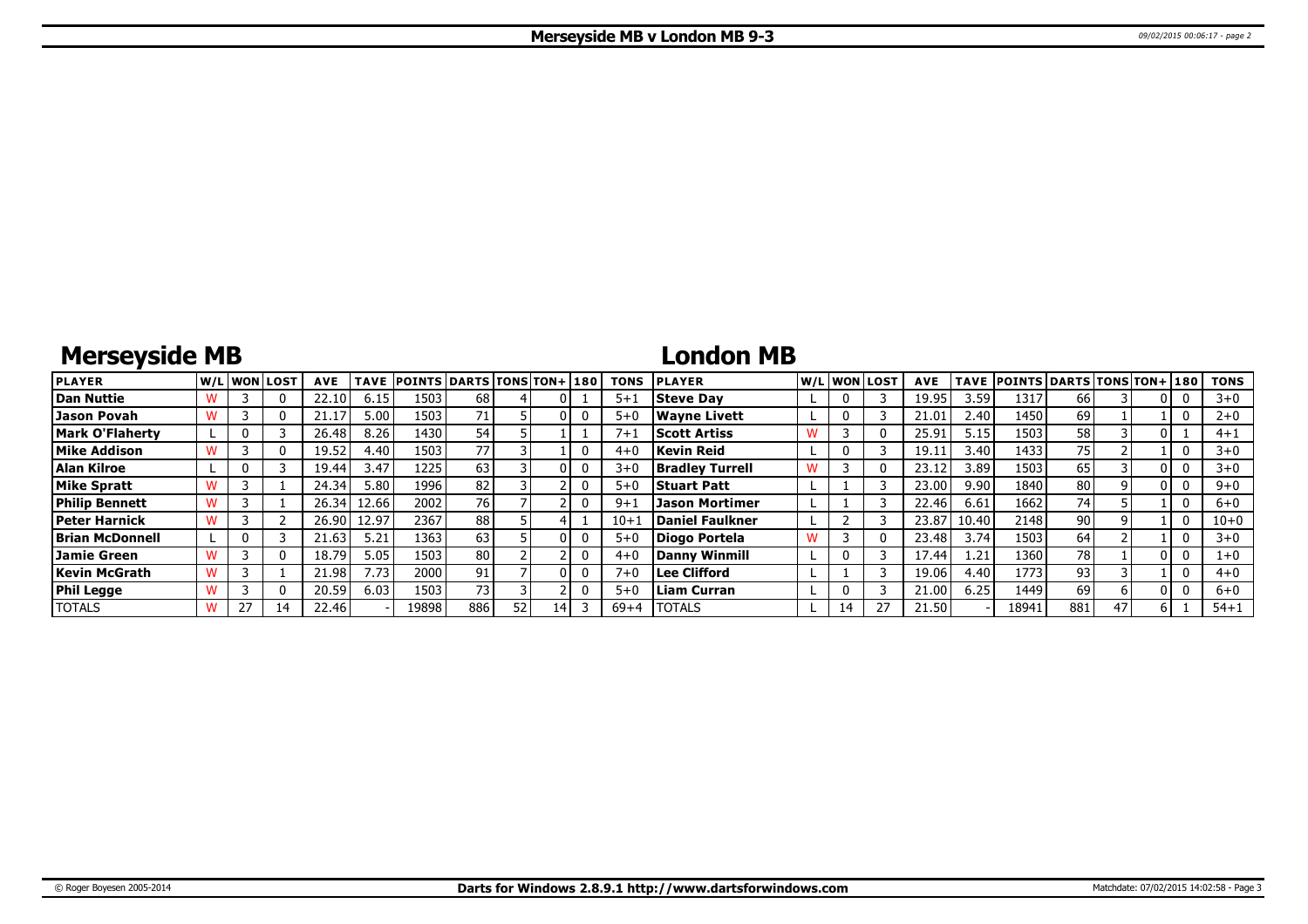# **Merseyside MB**

### **London MB**

| <b>PLAYER</b>          |  | lw/Llwonllost | <b>AVE</b> | <b>TAVE</b> | <b>POINTS DARTS TONS TON+180</b> |                 |    |  | <b>TONS</b> | <b>PLAYER</b>          |    | W/Liwonilost | <b>AVE</b> |       | TAVE POINTS DARTS TONS TON+ 180 |     |  | <b>TONS</b> |
|------------------------|--|---------------|------------|-------------|----------------------------------|-----------------|----|--|-------------|------------------------|----|--------------|------------|-------|---------------------------------|-----|--|-------------|
| Dan Nuttie             |  | 0             | 22.10      | 6.15        | 1503                             | 68              |    |  | $5 + 1$     | <b>Steve Dav</b>       |    |              | 19.95      | 3.59  | 1317                            | 66  |  | $3 + 0$     |
| <b>Jason Povah</b>     |  | $^{(1)}$      |            | 5.00        | 1503                             | 71              |    |  | $5 + C$     | Wavne Livett           |    |              | 21.01      | 2.40  | 1450 l                          | 69  |  | $2+0$       |
| <b>Mark O'Flaherty</b> |  |               | 26.48      | 8.26        | 1430                             | 54              |    |  | $7 + 1$     | <b>Scott Artiss</b>    |    |              | 25.91      | 5.15  | 1503                            | 58  |  | $4 + 1$     |
| Mike Addison           |  | 0             | 19.52      | 4.40        | 1503                             | 77              |    |  | $4 + C$     | Kevin Reid             |    |              | 19.1       | 3.40  | 1433                            | 75  |  | $3 + 0$     |
| Alan Kilroe            |  |               | 19.44      | 3.47        | 1225                             | 63              |    |  | $3 + C$     | <b>Bradley Turrell</b> |    |              | 23.1       | 3.89  | 1503                            | 65  |  | $3+0$       |
| <b>Mike Spratt</b>     |  |               | 24.34      | 5.80        | 1996 l                           | 82              |    |  | $5 + 0$     | <b>Stuart Patt</b>     |    |              | 23.00      | 9.90  | 1840                            | 80  |  | $9 + 0$     |
| <b>Philip Bennett</b>  |  |               | 26.34      | 12.66       | 2002                             | 76 <sup>1</sup> |    |  | $9 + i$     | <b>Jason Mortimer</b>  |    |              | 22.46      | 6.61  | 1662                            | 74  |  | $6 + 0$     |
| <b>Peter Harnick</b>   |  |               | 26.90      | 12.97       | 2367                             | 88              |    |  | $10+$       | Daniel Faulkner        |    |              | 23.87      | 10.40 | 2148                            | 90  |  | $10 + 0$    |
| <b>Brian McDonnell</b> |  |               | 21.63      | 5.21        | 1363                             | 63              |    |  | $5 + 0$     | Diogo Portela          |    |              | 23.48      | 3.74  | 1503                            | 64  |  | $3 + 0$     |
| <b>Jamie Green</b>     |  | 0             | 18.79      | 5.05        | 1503                             | 80              |    |  | $4 + 0$     | Danny Winmill          |    |              | 17.44      | 1.21  | 1360                            | 78  |  | 1+0         |
| Kevin McGrath          |  |               | 21.98      | 7.73        | 2000 l                           | 91              |    |  | $7 + C$     | Lee Clifford           |    |              | 19.06      | 4.40  | 1773                            | 93  |  | $4 + 0$     |
| <b>Phil Legge</b>      |  | 0             | 20.59      | 6.03        | 1503                             | 73              |    |  | $5 + 0$     | Liam Curran            |    |              | 21.00      | 6.25  | 1449                            | 69  |  | $6 + 0$     |
| <b>TOTALS</b>          |  |               | 22.46      |             | 19898                            | 886             | 52 |  | $69 + 4$    | <b>TOTALS</b>          | 14 |              | 21.50      |       | 18941                           | 881 |  | $54 + 1$    |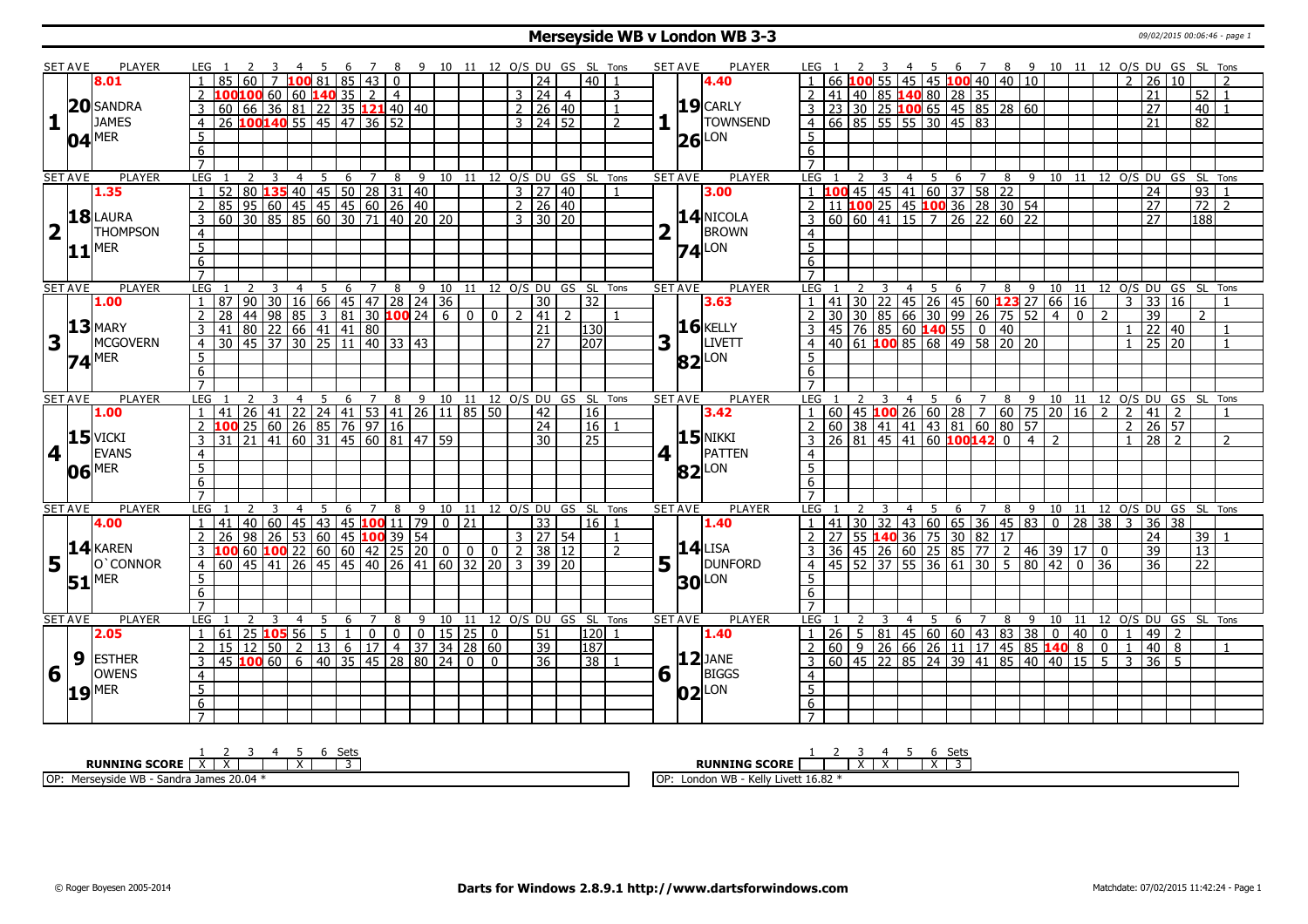#### **Merseyside WB v London WB 3-3** 09/02/2015 00:06:46 - page 1

|                         | <b>SET AVE</b> | <b>PLAYER</b>       |                     | LEG 1                                                                                                                                                                                                                                                                                                                                                       |   | -3                           |                |                 |              |                  |                |   |                                 |                |                                                 |                |                          |                       |                | 4 5 6 7 8 9 10 11 12 O/S DU GS SL Tons   |                |   | <b>SET AVE</b>                          | <b>PLAYER</b>         | LEG 1               |    |                                                            |                           |                |     |   |                                                                                                 |   |         |                |              |                       |                | 2 3 4 5 6 7 8 9 10 11 12 O/S DU GS SL Tons |                                 |                                        |                |  |
|-------------------------|----------------|---------------------|---------------------|-------------------------------------------------------------------------------------------------------------------------------------------------------------------------------------------------------------------------------------------------------------------------------------------------------------------------------------------------------------|---|------------------------------|----------------|-----------------|--------------|------------------|----------------|---|---------------------------------|----------------|-------------------------------------------------|----------------|--------------------------|-----------------------|----------------|------------------------------------------|----------------|---|-----------------------------------------|-----------------------|---------------------|----|------------------------------------------------------------|---------------------------|----------------|-----|---|-------------------------------------------------------------------------------------------------|---|---------|----------------|--------------|-----------------------|----------------|--------------------------------------------|---------------------------------|----------------------------------------|----------------|--|
|                         |                | 8.01                |                     | 85 60                                                                                                                                                                                                                                                                                                                                                       |   |                              |                | .00 81          | 85           | 43               |                |   |                                 |                |                                                 |                |                          | 24                    |                | 40 <sup>1</sup>                          |                |   |                                         | 4.40                  |                     |    |                                                            |                           |                |     |   | 55 45 45 100 40 40 10                                                                           |   |         |                |              |                       | $\mathcal{P}$  | $\overline{26}$                            | 10                              |                                        |                |  |
|                         |                |                     |                     | $100$ 100 60 60 140 35 2                                                                                                                                                                                                                                                                                                                                    |   |                              |                |                 |              |                  | $\vert$ 4      |   |                                 |                |                                                 |                | $3 \mid 24 \mid 4$       |                       |                |                                          | 3              |   |                                         |                       |                     | 41 |                                                            |                           |                |     |   | 40 85 140 80 28 35                                                                              |   |         |                |              |                       |                | 21                                         |                                 | 52                                     |                |  |
|                         | 20             | <b>SANDRA</b>       | 3                   | $\boxed{60}$ $\boxed{66}$ $\boxed{36}$ $\boxed{81}$ $\boxed{22}$ $\boxed{35}$ $\boxed{121}$ $\boxed{40}$ $\boxed{40}$                                                                                                                                                                                                                                       |   |                              |                |                 |              |                  |                |   |                                 |                |                                                 |                | 2   26   40              |                       |                |                                          | $\mathbf{1}$   |   |                                         | $19$ CARLY            |                     |    |                                                            |                           |                |     |   |                                                                                                 |   |         |                |              |                       |                | 27                                         |                                 | 40 l                                   |                |  |
| 1                       |                | <b>JAMES</b>        | $\overline{4}$      |                                                                                                                                                                                                                                                                                                                                                             |   | 26 100140 55 45 47 36 52     |                |                 |              |                  |                |   |                                 |                |                                                 |                | $3 \mid 24 \mid 52$      |                       |                |                                          | $\overline{2}$ |   |                                         | <b>TOWNSEND</b>       |                     |    |                                                            |                           |                |     |   | 3 23 30 25 100 65 45 85 28 60<br>4 66 85 55 55 30 45 83                                         |   |         |                |              |                       |                | 21                                         |                                 | $\overline{82}$                        |                |  |
|                         |                | <b>MER</b>          | 5                   |                                                                                                                                                                                                                                                                                                                                                             |   |                              |                |                 |              |                  |                |   |                                 |                |                                                 |                |                          |                       |                |                                          |                |   |                                         | LON                   | $5^{\circ}$         |    |                                                            |                           |                |     |   |                                                                                                 |   |         |                |              |                       |                |                                            |                                 |                                        |                |  |
|                         | 04             |                     | 6                   |                                                                                                                                                                                                                                                                                                                                                             |   |                              |                |                 |              |                  |                |   |                                 |                |                                                 |                |                          |                       |                |                                          |                |   | 26                                      |                       | 6                   |    |                                                            |                           |                |     |   |                                                                                                 |   |         |                |              |                       |                |                                            |                                 |                                        |                |  |
|                         |                |                     | $\overline{7}$      |                                                                                                                                                                                                                                                                                                                                                             |   |                              |                |                 |              |                  |                |   |                                 |                |                                                 |                |                          |                       |                |                                          |                |   |                                         |                       | $\overline{7}$      |    |                                                            |                           |                |     |   |                                                                                                 |   |         |                |              |                       |                |                                            |                                 |                                        |                |  |
|                         | <b>SET AVE</b> | <b>PLAYER</b>       | LEG                 |                                                                                                                                                                                                                                                                                                                                                             | 2 | $\overline{3}$               | $\overline{4}$ | 5               |              | $6 \overline{7}$ |                |   |                                 |                |                                                 |                |                          |                       |                | 8 9 10 11 12 O/S DU GS SL Tons           |                |   | <b>SET AVE</b>                          | <b>PLAYER</b>         | LEG                 |    |                                                            | $\overline{\mathbf{3}}$   |                |     |   |                                                                                                 |   |         |                |              |                       |                |                                            |                                 | 4 5 6 7 8 9 10 11 12 O/S DU GS SL Tons |                |  |
|                         |                | 1.35                | $\mathbf{1}$        | $\begin{array}{ c c c c c c c c c c c } \hline 152 & 80 & \textbf{135} & 40 & \textbf{45} & \textbf{50} & \textbf{28} & \textbf{31} & \textbf{40} & \textbf{40} \\ \hline 85 & 95 & 60 & 45 & 45 & 45 & 60 & \textbf{26} & \textbf{40} \\ \hline 60 & 30 & 85 & 85 & 60 & 30 & \textbf{71} & \textbf{40} & \textbf{20} & \textbf{20} \\ \hline \end{array}$ |   |                              |                |                 |              |                  |                |   |                                 |                |                                                 |                | 3   27   40              |                       |                |                                          |                |   |                                         | 3.00                  |                     |    |                                                            |                           |                |     |   | 100 45 45 41 60 37 58 22<br>11 100 25 45 100 36 28 30 54                                        |   |         |                |              |                       |                | $\overline{24}$                            |                                 | 93                                     |                |  |
|                         |                |                     | 2                   |                                                                                                                                                                                                                                                                                                                                                             |   |                              |                |                 |              |                  |                |   |                                 |                |                                                 |                | 2   26   40              |                       |                |                                          |                |   |                                         |                       | $\overline{2}$      |    |                                                            |                           |                |     |   |                                                                                                 |   |         |                |              |                       |                | $\overline{27}$                            |                                 | $\overline{72}$                        | $\overline{2}$ |  |
|                         |                | 18 LAURA            | $\overline{3}$      |                                                                                                                                                                                                                                                                                                                                                             |   |                              |                |                 |              |                  |                |   |                                 |                |                                                 |                | $3 \times 130 \times 20$ |                       |                |                                          |                |   |                                         | $14$ NICOLA           |                     |    |                                                            |                           |                |     |   | 60 60 41 15 7 26 22 60 22                                                                       |   |         |                |              |                       |                | $\overline{27}$                            |                                 | 188                                    |                |  |
| $\overline{2}$          | LΓ             | THOMPSON            | $\overline{4}$      |                                                                                                                                                                                                                                                                                                                                                             |   |                              |                |                 |              |                  |                |   |                                 |                |                                                 |                |                          |                       |                |                                          |                | 2 |                                         | BROWN                 | $\overline{4}$      |    |                                                            |                           |                |     |   |                                                                                                 |   |         |                |              |                       |                |                                            |                                 |                                        |                |  |
|                         |                | <b>MER</b>          | $\overline{5}$      |                                                                                                                                                                                                                                                                                                                                                             |   |                              |                |                 |              |                  |                |   |                                 |                |                                                 |                |                          |                       |                |                                          |                |   | $74$ <sup><math>\text{LON}</math></sup> |                       | $\overline{5}$      |    |                                                            |                           |                |     |   |                                                                                                 |   |         |                |              |                       |                |                                            |                                 |                                        |                |  |
|                         | 11             |                     | 6                   |                                                                                                                                                                                                                                                                                                                                                             |   |                              |                |                 |              |                  |                |   |                                 |                |                                                 |                |                          |                       |                |                                          |                |   |                                         |                       | 6                   |    |                                                            |                           |                |     |   |                                                                                                 |   |         |                |              |                       |                |                                            |                                 |                                        |                |  |
|                         |                |                     |                     |                                                                                                                                                                                                                                                                                                                                                             |   |                              |                |                 |              |                  |                |   |                                 |                |                                                 |                |                          |                       |                |                                          |                |   |                                         |                       |                     |    |                                                            |                           |                |     |   |                                                                                                 |   |         |                |              |                       |                |                                            |                                 |                                        |                |  |
|                         | <b>SET AVE</b> | <b>PLAYER</b>       | <b>LEG</b>          |                                                                                                                                                                                                                                                                                                                                                             | 2 | $\overline{\mathbf{3}}$      | $\overline{4}$ | $5\overline{)}$ |              |                  |                |   |                                 |                |                                                 |                |                          |                       |                | 6 7 8 9 10 11 12 O/S DU GS SL Tons       |                |   | <b>SET AVE</b>                          | <b>PLAYER</b>         | $LEG_1$             |    | <sup>2</sup>                                               | $\overline{\phantom{0}3}$ |                |     |   |                                                                                                 |   |         |                |              |                       |                |                                            |                                 | 4 5 6 7 8 9 10 11 12 O/S DU GS SL Tons |                |  |
|                         |                | 1.00                | $\overline{1}$      | 87                                                                                                                                                                                                                                                                                                                                                          |   | $90$ 30 16 66 45 47 28 24 36 |                |                 |              |                  |                |   |                                 |                |                                                 |                |                          | $\overline{30}$       |                | $\overline{32}$                          |                |   |                                         | 3.63                  |                     | 41 |                                                            |                           |                |     |   | 30 22 45 26 45 60 123 27 66 16                                                                  |   |         |                |              |                       |                |                                            | $3 \mid 33 \mid 16$             |                                        |                |  |
|                         |                |                     |                     | 28                                                                                                                                                                                                                                                                                                                                                          |   | 44 98                        |                |                 |              |                  |                |   |                                 |                |                                                 | $\overline{0}$ | 2  41                    |                       | $\overline{2}$ |                                          |                |   |                                         |                       | $\overline{2}$      |    |                                                            |                           |                |     |   | 130 30 85 66 30 99 26 75 52<br>45 76 85 66 30 99 26 75 52<br>40 61 <b>100</b> 85 68 49 58 20 20 |   |         | $-4$           | $\mathbf{0}$ | $\mathcal{P}$         |                | 39                                         |                                 | $\mathcal{P}$                          |                |  |
|                         |                | $13$ MARY           | $\overline{3}$      | $\frac{1}{41}$ 80 22 66 41 41 80                                                                                                                                                                                                                                                                                                                            |   |                              |                |                 |              |                  |                |   |                                 |                |                                                 |                |                          | 21                    |                | 130                                      |                |   |                                         | $16$ <b>KELLY</b>     |                     |    |                                                            |                           |                |     |   |                                                                                                 |   |         |                |              |                       |                |                                            | 22   40                         |                                        |                |  |
| $\overline{\mathbf{3}}$ |                | MCGOVERN            | $\overline{4}$      | $\frac{130}{30}$ $\frac{45}{37}$ $\frac{37}{30}$ $\frac{25}{11}$ $\frac{11}{40}$ $\frac{33}{33}$ $\frac{43}{3}$                                                                                                                                                                                                                                             |   |                              |                |                 |              |                  |                |   |                                 |                |                                                 |                |                          | $\overline{27}$       |                | $\overline{207}$                         |                | 3 |                                         | LIVETT                | $\overline{4}$      |    |                                                            |                           |                |     |   |                                                                                                 |   |         |                |              |                       |                |                                            | $25 \overline{20}$              |                                        | $\overline{1}$ |  |
|                         |                | $74$ <sup>MER</sup> | 5                   |                                                                                                                                                                                                                                                                                                                                                             |   |                              |                |                 |              |                  |                |   |                                 |                |                                                 |                |                          |                       |                |                                          |                |   | <b>82</b> LON                           |                       | $5^{\circ}$         |    |                                                            |                           |                |     |   |                                                                                                 |   |         |                |              |                       |                |                                            |                                 |                                        |                |  |
|                         |                |                     | 6                   |                                                                                                                                                                                                                                                                                                                                                             |   |                              |                |                 |              |                  |                |   |                                 |                |                                                 |                |                          |                       |                |                                          |                |   |                                         |                       | 6                   |    |                                                            |                           |                |     |   |                                                                                                 |   |         |                |              |                       |                |                                            |                                 |                                        |                |  |
|                         |                |                     | $\overline{7}$      |                                                                                                                                                                                                                                                                                                                                                             |   |                              |                |                 |              |                  |                |   |                                 |                |                                                 |                |                          |                       |                |                                          |                |   |                                         |                       | $\overline{7}$      |    |                                                            |                           |                |     |   |                                                                                                 |   |         |                |              |                       |                |                                            |                                 |                                        |                |  |
|                         | <b>SET AVE</b> | <b>PLAYER</b>       | LEG                 |                                                                                                                                                                                                                                                                                                                                                             |   |                              | $\overline{4}$ | 5               | 6            |                  |                |   |                                 |                |                                                 |                |                          |                       |                | 7 8 9 10 11 12 0/S DU GS SL Tons         |                |   | <b>SET AVE</b>                          | <b>PLAYER</b>         | LEG                 |    |                                                            | 3                         |                |     |   |                                                                                                 |   |         |                |              |                       |                |                                            |                                 | 4 5 6 7 8 9 10 11 12 O/S DU GS SL Tons |                |  |
|                         |                | 1.00                | $\overline{1}$      |                                                                                                                                                                                                                                                                                                                                                             |   |                              |                |                 |              |                  |                |   |                                 |                |                                                 |                |                          | 42                    |                | 16                                       |                |   |                                         | 3.42                  | $\vert$ 1           |    | $60   45   100   26   60   28   7   60   75   20   16   2$ |                           |                |     |   |                                                                                                 |   |         |                |              |                       |                | $2 \mid 41 \mid$                           | $\overline{2}$                  |                                        | $\mathbf{1}$   |  |
|                         |                |                     |                     |                                                                                                                                                                                                                                                                                                                                                             |   |                              |                |                 |              |                  |                |   |                                 |                |                                                 |                |                          |                       |                |                                          |                |   |                                         |                       |                     |    |                                                            |                           |                |     |   |                                                                                                 |   |         |                |              |                       |                |                                            |                                 |                                        |                |  |
|                         |                |                     |                     |                                                                                                                                                                                                                                                                                                                                                             |   |                              |                |                 |              |                  |                |   |                                 |                |                                                 |                |                          |                       |                |                                          |                |   |                                         |                       |                     |    |                                                            |                           |                |     |   |                                                                                                 |   |         |                |              |                       |                |                                            |                                 |                                        |                |  |
|                         |                |                     | $\overline{2}$      |                                                                                                                                                                                                                                                                                                                                                             |   |                              |                |                 |              |                  |                |   |                                 |                |                                                 |                |                          | 24<br>$\overline{30}$ |                | 16                                       |                |   |                                         |                       | $\overline{z}$      |    |                                                            |                           |                |     |   | 60 38 41 41 43 81 60 80 57                                                                      |   |         | $\overline{2}$ |              |                       |                |                                            | $2 \ 26 \ 57$<br>$\frac{1}{28}$ |                                        | $\overline{2}$ |  |
|                         |                | $15$ VICKI          | $\overline{3}$      | 141 26 41 22 24 41 53 41 26 11 85 50<br>100 25 60 26 85 76 97 16<br>31 21 41 60 31 45 60 81 47 59                                                                                                                                                                                                                                                           |   |                              |                |                 |              |                  |                |   |                                 |                |                                                 |                |                          |                       |                | 25                                       |                |   |                                         | $15$ NIKKI            | $\overline{3}$      |    |                                                            |                           |                |     |   | $\overline{26}$ 81 45 41 60 <b>100 142</b> 0 4                                                  |   |         |                |              |                       |                |                                            |                                 |                                        |                |  |
| $\overline{\mathbf{4}}$ |                | EVANS               | $\overline{4}$      |                                                                                                                                                                                                                                                                                                                                                             |   |                              |                |                 |              |                  |                |   |                                 |                |                                                 |                |                          |                       |                |                                          |                | 4 |                                         | PATTEN                | $\overline{4}$      |    |                                                            |                           |                |     |   |                                                                                                 |   |         |                |              |                       |                |                                            |                                 |                                        |                |  |
|                         |                | $06$ <sup>MER</sup> | $\overline{5}$      |                                                                                                                                                                                                                                                                                                                                                             |   |                              |                |                 |              |                  |                |   |                                 |                |                                                 |                |                          |                       |                |                                          |                |   | $82$ LON                                |                       | $\overline{5}$      |    |                                                            |                           |                |     |   |                                                                                                 |   |         |                |              |                       |                |                                            |                                 |                                        |                |  |
|                         |                |                     | 6<br>$\overline{7}$ |                                                                                                                                                                                                                                                                                                                                                             |   |                              |                |                 |              |                  |                |   |                                 |                |                                                 |                |                          |                       |                |                                          |                |   |                                         |                       | $6\overline{6}$     |    |                                                            |                           |                |     |   |                                                                                                 |   |         |                |              |                       |                |                                            |                                 |                                        |                |  |
|                         |                | PLAYER              | LEG                 |                                                                                                                                                                                                                                                                                                                                                             |   |                              |                |                 | -6           |                  |                |   |                                 |                |                                                 |                |                          |                       |                |                                          |                |   |                                         |                       |                     |    |                                                            |                           | $\overline{4}$ | - 5 |   |                                                                                                 |   |         |                |              |                       |                |                                            |                                 |                                        |                |  |
|                         | <b>SET AVE</b> | 4.00                |                     |                                                                                                                                                                                                                                                                                                                                                             |   |                              |                |                 |              |                  | 78             |   |                                 |                |                                                 |                |                          | 33 <sup>°</sup>       |                | 9 10 11 12 0/S DU GS SL Tons<br>  16   1 |                |   | <b>SET AVE</b>                          | <b>PLAYER</b><br>1.40 | LEG<br>$\vert$ 1    |    |                                                            |                           |                |     |   |                                                                                                 |   |         |                |              |                       |                |                                            | 3 36 38                         | 6 7 8 9 10 11 12 O/S DU GS SL Tons     |                |  |
|                         |                |                     |                     | $1   41   40   60   45   43   45   100   11   79   0   21$                                                                                                                                                                                                                                                                                                  |   |                              |                |                 |              |                  |                |   |                                 |                |                                                 |                |                          |                       |                |                                          |                |   |                                         |                       |                     |    |                                                            |                           |                |     |   | $141$ 30 32 43 60 65 36 45 83 0 28 38                                                           |   |         |                |              |                       |                |                                            |                                 |                                        |                |  |
|                         |                |                     |                     | 26                                                                                                                                                                                                                                                                                                                                                          |   | 98 26 53 60 45 100 39 54     |                |                 |              |                  |                |   |                                 |                |                                                 |                | 3   27   54              |                       |                |                                          | $\overline{2}$ |   | $14$ LISA                               |                       |                     | 36 |                                                            |                           |                |     |   | 27 55 140 36 75 30 82 17                                                                        |   |         |                |              |                       |                | $\overline{24}$                            |                                 |                                        | 39             |  |
|                         |                | $14$ <b>KAREN</b>   |                     | 100601002260604222                                                                                                                                                                                                                                                                                                                                          |   |                              |                |                 |              |                  |                |   | $\overline{0}$                  | $\overline{0}$ |                                                 | $\mathbf 0$    | $\overline{2}$           | 38 12                 |                |                                          |                |   |                                         |                       |                     |    |                                                            |                           |                |     |   | 45 26 60 25 85 77 2 46 39 17                                                                    |   |         |                |              | $\mathbf{0}$          |                | 39                                         |                                 | $\overline{13}$                        |                |  |
| $5\vert$                |                | O'CONNOR            |                     | 4 60 45 41 26 45 45 40 26 41 60 32 20                                                                                                                                                                                                                                                                                                                       |   |                              |                |                 |              |                  |                |   |                                 |                |                                                 |                | 3 39 20                  |                       |                |                                          |                | 5 |                                         | <b>DUNFORD</b>        | 4                   |    |                                                            |                           |                |     |   | 45   52   37   55   36   61   30   5   80   42                                                  |   |         |                | 0 36         |                       |                | 36                                         |                                 | 22                                     |                |  |
|                         |                | $51$ <sup>MER</sup> | 5                   |                                                                                                                                                                                                                                                                                                                                                             |   |                              |                |                 |              |                  |                |   |                                 |                |                                                 |                |                          |                       |                |                                          |                |   | <b>30</b>                               | LON                   | 5                   |    |                                                            |                           |                |     |   |                                                                                                 |   |         |                |              |                       |                |                                            |                                 |                                        |                |  |
|                         |                |                     | 6<br>$\overline{7}$ |                                                                                                                                                                                                                                                                                                                                                             |   |                              |                |                 |              |                  |                |   |                                 |                |                                                 |                |                          |                       |                |                                          |                |   |                                         |                       | 6<br>$\overline{7}$ |    |                                                            |                           |                |     |   |                                                                                                 |   |         |                |              |                       |                |                                            |                                 |                                        |                |  |
|                         |                | <b>PLAYER</b>       | <b>LEG</b>          |                                                                                                                                                                                                                                                                                                                                                             |   | 3                            | 4              | 5               | 6            | 7                | 8              |   |                                 | 11             |                                                 |                |                          |                       |                | 12 O/S DU GS SL Tons                     |                |   | <b>SET AVE</b>                          | PLAYER                | LEG                 |    |                                                            |                           | 4              | 5   |   |                                                                                                 |   |         |                |              |                       |                |                                            |                                 |                                        |                |  |
|                         | <b>SET AVE</b> | 2.05                | $\overline{1}$      | 61                                                                                                                                                                                                                                                                                                                                                          |   |                              |                |                 | $\mathbf{1}$ |                  |                | 9 | 10                              |                |                                                 |                |                          | 51                    |                |                                          |                |   |                                         | 1.40                  | $\overline{1}$      |    |                                                            |                           |                |     | 6 | 7                                                                                               | 8 | 9 10 11 |                |              |                       | $\overline{1}$ |                                            | 2                               | 12 O/S DU GS SL Tons                   |                |  |
|                         |                |                     | 2                   |                                                                                                                                                                                                                                                                                                                                                             |   | 25 105 56                    |                | $\overline{5}$  |              | $\overline{0}$   | $\overline{0}$ |   |                                 |                | $0$   15   25   0                               |                |                          | $\overline{39}$       |                | 120                                      |                |   |                                         |                       |                     |    |                                                            |                           |                |     |   | $26 \mid 5 \mid 81 \mid 45 \mid 60 \mid 60 \mid 43 \mid 83 \mid 38 \mid 0$                      |   |         |                |              | 400<br>$\overline{0}$ | $\overline{1}$ | $ 49\rangle$<br>40                         | $\overline{8}$                  |                                        | $\overline{1}$ |  |
|                         |                | <b>ESTHER</b>       | $\overline{3}$      |                                                                                                                                                                                                                                                                                                                                                             |   | $15 \mid 12 \mid 50 \mid 2$  |                |                 |              | 13   6   17      |                |   |                                 |                | $4 \mid 37 \mid 34 \mid 28 \mid 60$<br>$\Omega$ | $\Omega$       |                          | 36                    |                | 187                                      |                |   |                                         | $12$ JANE             | $\overline{3}$      |    |                                                            |                           |                |     |   | $60$   9   26   66   26   11   17   45   85   140   8                                           |   |         |                |              | $5^-$                 | $\overline{3}$ | 36                                         | -5                              |                                        |                |  |
|                         | 9              | <b>OWENS</b>        |                     |                                                                                                                                                                                                                                                                                                                                                             |   | 45 100 60                    |                |                 |              |                  |                |   | 6   40   35   45   28   80   24 |                |                                                 |                |                          |                       |                | 38                                       |                |   |                                         |                       |                     |    |                                                            |                           |                |     |   | 60   45   22   85   24   39   41   85   40   40   15                                            |   |         |                |              |                       |                |                                            |                                 |                                        |                |  |
| 6                       |                |                     | $\overline{4}$      |                                                                                                                                                                                                                                                                                                                                                             |   |                              |                |                 |              |                  |                |   |                                 |                |                                                 |                |                          |                       |                |                                          |                |   | $6\vert$                                | BIGGS                 | $\overline{4}$      |    |                                                            |                           |                |     |   |                                                                                                 |   |         |                |              |                       |                |                                            |                                 |                                        |                |  |
|                         | 19             | <b>MER</b>          | $\overline{5}$      |                                                                                                                                                                                                                                                                                                                                                             |   |                              |                |                 |              |                  |                |   |                                 |                |                                                 |                |                          |                       |                |                                          |                |   | 02                                      | LON                   | $\overline{5}$      |    |                                                            |                           |                |     |   |                                                                                                 |   |         |                |              |                       |                |                                            |                                 |                                        |                |  |
|                         |                |                     | 6<br>$\overline{7}$ |                                                                                                                                                                                                                                                                                                                                                             |   |                              |                |                 |              |                  |                |   |                                 |                |                                                 |                |                          |                       |                |                                          |                |   |                                         |                       | $\overline{6}$      |    |                                                            |                           |                |     |   |                                                                                                 |   |         |                |              |                       |                |                                            |                                 |                                        |                |  |

| Sets                                                           | Sets                                                                          |
|----------------------------------------------------------------|-------------------------------------------------------------------------------|
| SCORE<br><b>RUNNING</b><br>. .                                 | <b>RUNNING</b><br>i SCORE<br>$\ddot{\phantom{1}}$<br>$\overline{\phantom{a}}$ |
| 20.04<br>יםר<br>evside WB<br>Ma<br><b>James</b><br>Sandra<br>◡ | $\sim$ $\sim$<br>l OF<br>London WB<br>- Kellv<br>++۱۵۰۰.<br><b>TO.OL</b><br>. |